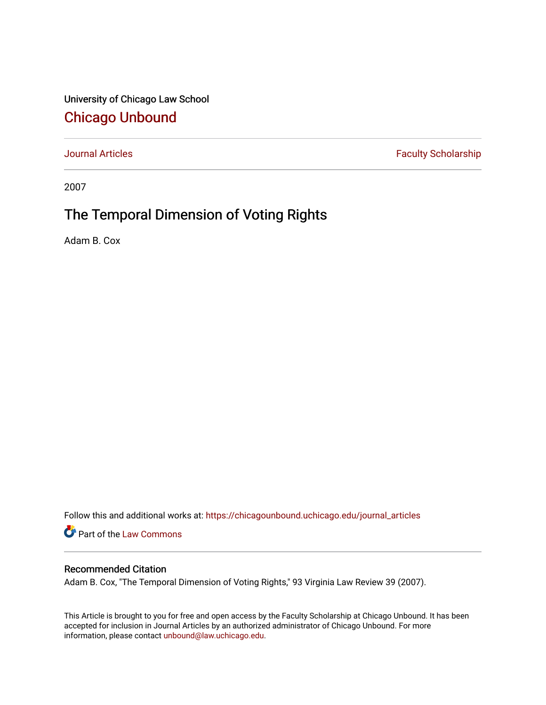University of Chicago Law School [Chicago Unbound](https://chicagounbound.uchicago.edu/)

[Journal Articles](https://chicagounbound.uchicago.edu/journal_articles) **Faculty Scholarship Faculty Scholarship** 

2007

# The Temporal Dimension of Voting Rights

Adam B. Cox

Follow this and additional works at: [https://chicagounbound.uchicago.edu/journal\\_articles](https://chicagounbound.uchicago.edu/journal_articles?utm_source=chicagounbound.uchicago.edu%2Fjournal_articles%2F10023&utm_medium=PDF&utm_campaign=PDFCoverPages) 

Part of the [Law Commons](http://network.bepress.com/hgg/discipline/578?utm_source=chicagounbound.uchicago.edu%2Fjournal_articles%2F10023&utm_medium=PDF&utm_campaign=PDFCoverPages)

## Recommended Citation

Adam B. Cox, "The Temporal Dimension of Voting Rights," 93 Virginia Law Review 39 (2007).

This Article is brought to you for free and open access by the Faculty Scholarship at Chicago Unbound. It has been accepted for inclusion in Journal Articles by an authorized administrator of Chicago Unbound. For more information, please contact [unbound@law.uchicago.edu](mailto:unbound@law.uchicago.edu).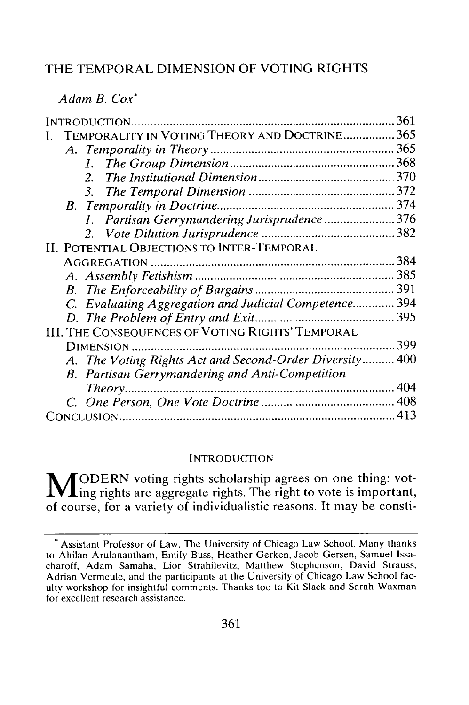# THE TEMPORAL DIMENSION OF VOTING RIGHTS

*Adam B. Cox\**

| INTRODUCTION                                            | 361 |
|---------------------------------------------------------|-----|
| TEMPORALITY IN VOTING THEORY AND DOCTRINE365            |     |
|                                                         |     |
| $L_{\odot}$                                             |     |
| $2^{\circ}$                                             |     |
|                                                         |     |
|                                                         |     |
| 1. Partisan Gerrymandering Jurisprudence376             |     |
|                                                         |     |
| II. POTENTIAL OBJECTIONS TO INTER-TEMPORAL              |     |
|                                                         |     |
|                                                         |     |
|                                                         |     |
| C. Evaluating Aggregation and Judicial Competence 394   |     |
|                                                         |     |
| III. THE CONSEQUENCES OF VOTING RIGHTS' TEMPORAL        |     |
|                                                         |     |
| A. The Voting Rights Act and Second-Order Diversity 400 |     |
| B. Partisan Gerrymandering and Anti-Competition         |     |
| Theory                                                  |     |
|                                                         |     |
|                                                         |     |

#### **INTRODUCTION**

**M** ODERN voting rights scholarship agrees on one thing: voting rights are aggregate rights. The right to vote is important, of course, for a variety of individualistic reasons. It may be consti-

<sup>\*</sup> Assistant Professor of Law, The University of Chicago Law School. Many thanks to Ahilan Arulanantham, Emily Buss, Heather Gerken, Jacob Gersen, Samuel Issacharoff, Adam Samaha, Lior Strahilevitz, Matthew Stephenson, David Strauss, Adrian Vermeule, and the participants at the University of Chicago Law School faculty workshop for insightful comments. Thanks too to Kit Slack and Sarah Waxman for excellent research assistance.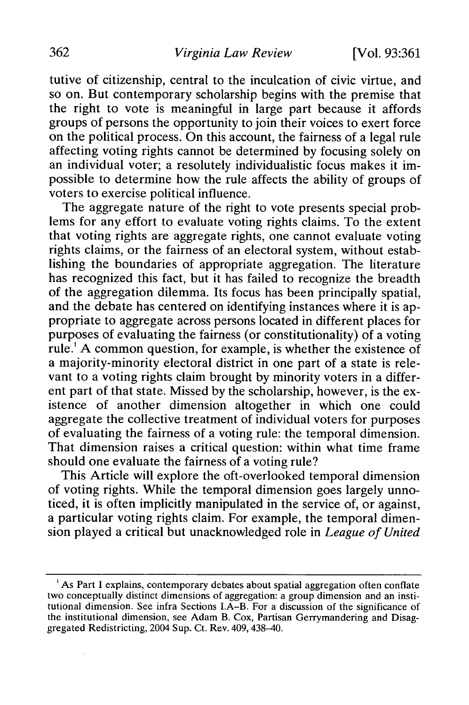tutive of citizenship, central to the inculcation of civic virtue, and so on. But contemporary scholarship begins with the premise that the right to vote is meaningful in large part because it affords groups of persons the opportunity to join their voices to exert force on the political process. On this account, the fairness of a legal rule affecting voting rights cannot be determined by focusing solely on an individual voter; a resolutely individualistic focus makes it impossible to determine how the rule affects the ability of groups of voters to exercise political influence.

The aggregate nature of the right to vote presents special problems for any effort to evaluate voting rights claims. To the extent that voting rights are aggregate rights, one cannot evaluate voting rights claims, or the fairness of an electoral system, without establishing the boundaries of appropriate aggregation. The literature has recognized this fact, but it has failed to recognize the breadth of the aggregation dilemma. Its focus has been principally spatial, and the debate has centered on identifying instances where it is appropriate to aggregate across persons located in different places for purposes of evaluating the fairness (or constitutionality) of a voting rule.' A common question, for example, is whether the existence of a majority-minority electoral district in one part of a state is relevant to a voting rights claim brought by minority voters in a different part of that state. Missed by the scholarship, however, is the existence of another dimension altogether in which one could aggregate the collective treatment of individual voters for purposes of evaluating the fairness of a voting rule: the temporal dimension. That dimension raises a critical question: within what time frame should one evaluate the fairness of a voting rule?

This Article will explore the oft-overlooked temporal dimension of voting rights. While the temporal dimension goes largely unnoticed, it is often implicitly manipulated in the service of, or against, a particular voting rights claim. For example, the temporal dimension played a critical but unacknowledged role in *League of United*

<sup>&#</sup>x27;As Part I explains, contemporary debates about spatial aggregation often conflate two conceptually distinct dimensions of aggregation: a group dimension and an institutional dimension. See infra Sections L.A-B. For a discussion of the significance of the institutional dimension, see Adam B. Cox, Partisan Gerrymandering and Disaggregated Redistricting, 2004 Sup. Ct. Rev. 409, 438-40.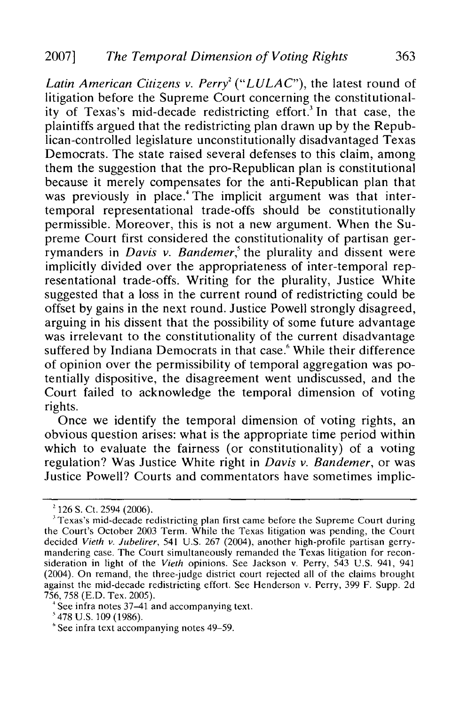Latin American Citizens v. Perry<sup>2</sup> ("LULAC"), the latest round of litigation before the Supreme Court concerning the constitutionality of Texas's mid-decade redistricting effort.<sup>3</sup> In that case, the plaintiffs argued that the redistricting plan drawn up by the Republican-controlled legislature unconstitutionally disadvantaged Texas Democrats. The state raised several defenses to this claim, among them the suggestion that the pro-Republican plan is constitutional because it merely compensates for the anti-Republican plan that was previously in place.<sup>4</sup> The implicit argument was that intertemporal representational trade-offs should be constitutionally permissible. Moreover, this is not a new argument. When the Supreme Court first considered the constitutionality of partisan gerrymanders in *Davis v. Bandemer*,<sup>5</sup> the plurality and dissent were implicitly divided over the appropriateness of inter-temporal representational trade-offs. Writing for the plurality, Justice White suggested that a loss in the current round of redistricting could be offset by gains in the next round. Justice Powell strongly disagreed, arguing in his dissent that the possibility of some future advantage was irrelevant to the constitutionality of the current disadvantage suffered by Indiana Democrats in that case.<sup>6</sup> While their difference of opinion over the permissibility of temporal aggregation was potentially dispositive, the disagreement went undiscussed, and the Court failed to acknowledge the temporal dimension of voting rights.

Once we identify the temporal dimension of voting rights, an obvious question arises: what is the appropriate time period within which to evaluate the fairness (or constitutionality) of a voting regulation? Was Justice White right in *Davis v. Bandemer,* or was Justice Powell? Courts and commentators have sometimes implic-

 $2$  126 S. Ct. 2594 (2006).

<sup>&</sup>lt;sup>3</sup> Texas's mid-decade redistricting plan first came before the Supreme Court during the Court's October 2003 Term. While the Texas litigation was pending, the Court decided *Vieth v. Jubelirer,* 541 U.S. 267 (2004), another high-profile partisan gerrymandering case. The Court simultaneously remanded the Texas litigation for reconsideration in light of the *Vieth* opinions. See Jackson v. Perry, 543 U.S. 941, 941 (2004). On remand, the three-judge district court rejected all of the claims brought against the mid-decade redistricting effort. See Henderson v. Perry, 399 F. Supp. 2d 756, 758 (E.D. Tex. 2005).

See infra notes 37–41 and accompanying text.

<sup>&#</sup>x27;478 U.S. 109 (1986).

<sup>&#</sup>x27;See infra text accompanying notes 49-59.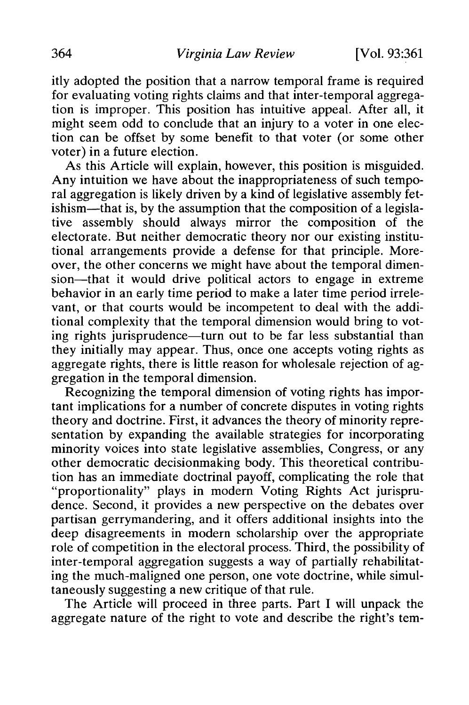itly adopted the position that a narrow temporal frame is required for evaluating voting rights claims and that inter-temporal aggregation is improper. This position has intuitive appeal. After all, it might seem odd to conclude that an injury to a voter in one election can be offset by some benefit to that voter (or some other voter) in a future election.

As this Article will explain, however, this position is misguided. Any intuition we have about the inappropriateness of such temporal aggregation is likely driven by a kind of legislative assembly fetishism—that is, by the assumption that the composition of a legislative assembly should always mirror the composition of the electorate. But neither democratic theory nor our existing institutional arrangements provide a defense for that principle. Moreover, the other concerns we might have about the temporal dimension-that it would drive political actors to engage in extreme behavior in an early time period to make a later time period irrelevant, or that courts would be incompetent to deal with the additional complexity that the temporal dimension would bring to voting rights jurisprudence—turn out to be far less substantial than they initially may appear. Thus, once one accepts voting rights as aggregate rights, there is little reason for wholesale rejection of aggregation in the temporal dimension.

Recognizing the temporal dimension of voting rights has important implications for a number of concrete disputes in voting rights theory and doctrine. First, it advances the theory of minority representation by expanding the available strategies for incorporating minority voices into state legislative assemblies, Congress, or any other democratic decisionmaking body. This theoretical contribution has an immediate doctrinal payoff, complicating the role that "proportionality" plays in modern Voting Rights Act jurisprudence. Second, it provides a new perspective on the debates over partisan gerrymandering, and it offers additional insights into the deep disagreements in modern scholarship over the appropriate role of competition in the electoral process. Third, the possibility of inter-temporal aggregation suggests a way of partially rehabilitating the much-maligned one person, one vote doctrine, while simultaneously suggesting a new critique of that rule.

The Article will proceed in three parts. Part I will unpack the aggregate nature of the right to vote and describe the right's tem-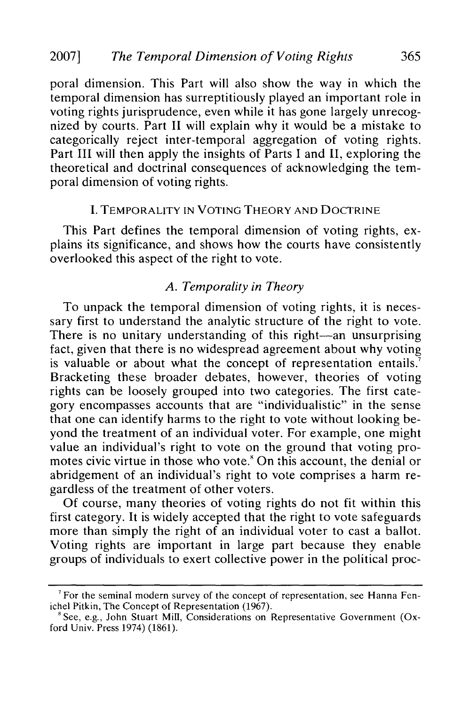poral dimension. This Part will also show the way in which the temporal dimension has surreptitiously played an important role in voting rights jurisprudence, even while it has gone largely unrecognized by courts. Part II will explain why it would be a mistake to categorically reject inter-temporal aggregation of voting rights. Part III will then apply the insights of Parts I and II, exploring the theoretical and doctrinal consequences of acknowledging the temporal dimension of voting rights.

#### I. TEMPORALITY IN **VOTING** THEORY **AND** DOCTRINE

This Part defines the temporal dimension of voting rights, explains its significance, and shows how the courts have consistently overlooked this aspect of the right to vote.

#### *A. Temporality in Theory*

To unpack the temporal dimension of voting rights, it is necessary first to understand the analytic structure of the right to vote. There is no unitary understanding of this right-an unsurprising fact, given that there is no widespread agreement about why voting is valuable or about what the concept of representation entails. Bracketing these broader debates, however, theories of voting rights can be loosely grouped into two categories. The first category encompasses accounts that are "individualistic" in the sense that one can identify harms to the right to vote without looking beyond the treatment of an individual voter. For example, one might value an individual's right to vote on the ground that voting promotes civic virtue in those who vote.' On this account, the denial or abridgement of an individual's right to vote comprises a harm regardless of the treatment of other voters.

Of course, many theories of voting rights do not fit within this first category. It is widely accepted that the right to vote safeguards more than simply the right of an individual voter to cast a ballot. Voting rights are important in large part because they enable groups of individuals to exert collective power in the political proc-

<sup>&</sup>lt;sup>7</sup> For the seminal modern survey of the concept of representation, see Hanna Fenichel Pitkin, The Concept of Representation (1967).

 $8$  See, e.g., John Stuart Mill, Considerations on Representative Government (Oxford Univ. Press 1974) (1861).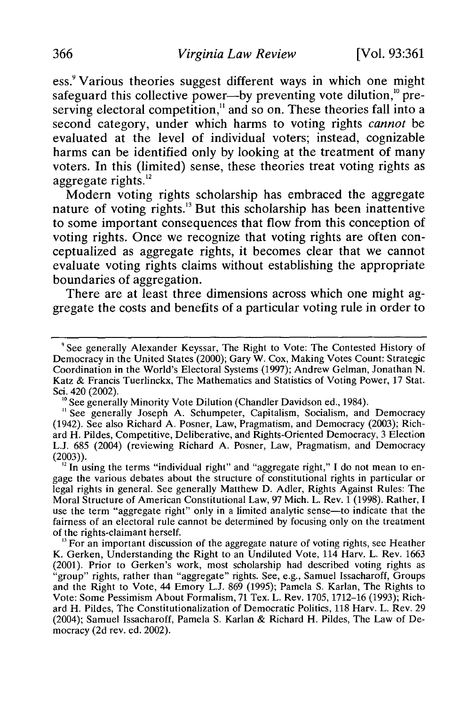ess.<sup>9</sup> Various theories suggest different ways in which one might safeguard this collective power--by preventing vote dilution,<sup>10</sup> preserving electoral competition,<sup>11</sup> and so on. These theories fall into a second category, under which harms to voting rights *cannot* be evaluated at the level of individual voters; instead, cognizable harms can be identified only **by** looking at the treatment of many voters. In this (limited) sense, these theories treat voting rights as aggregate rights.<sup>12</sup>

Modern voting rights scholarship has embraced the aggregate nature of voting rights.<sup>13</sup> But this scholarship has been inattentive to some important consequences that flow from this conception of voting rights. Once we recognize that voting rights are often conceptualized as aggregate rights, it becomes clear that we cannot evaluate voting rights claims without establishing the appropriate boundaries of aggregation.

There are at least three dimensions across which one might aggregate the costs and benefits of a particular voting rule in order to

<sup>&#</sup>x27;See generally Alexander Keyssar, The Right to Vote: The Contested History of Democracy in the United States (2000); Gary W. Cox, Making Votes Count: Strategic Coordination in the World's Electoral Systems (1997); Andrew Gelman, Jonathan N. Katz & Francis Tuerlinckx, The Mathematics and Statistics of Voting Power, 17 Stat. Sci. 420 (2002).

<sup>&</sup>lt;sup>10</sup> See generally Minority Vote Dilution (Chandler Davidson ed., 1984).

<sup>&</sup>lt;sup>11</sup> See generally Joseph A. Schumpeter, Capitalism, Socialism, and Democracy (1942). See also Richard A. Posner, Law, Pragmatism, and Democracy (2003); Richard H. Pildes, Competitive, Deliberative, and Rights-Oriented Democracy, 3 Election L.J. 685 (2004) (reviewing Richard A. Posner, Law, Pragmatism, and Democracy (2003)).<br> $12 \text{ In using the terms "individual right" and "aggregate right," I do not mean to en-$ 

gage the various debates about the structure of constitutional rights in particular or legal rights in general. See generally Matthew D. Adler, Rights Against Rules: The Moral Structure of American Constitutional Law, 97 Mich. L. Rev. 1 (1998). Rather, I use the term "aggregate right" only in a limited analytic sense-to indicate that the fairness of an electoral rule cannot be determined by focusing only on the treatment of the rights-claimant herself.

<sup>&</sup>lt;sup>13</sup> For an important discussion of the aggregate nature of voting rights, see Heather K. Gerken, Understanding the Right to an Undiluted Vote, 114 Harv. L. Rev. 1663 (2001). Prior to Gerken's work, most scholarship had described voting rights as "group" rights, rather than "aggregate" rights. See, e.g., Samuel Issacharoff, Groups and the Right to Vote, 44 Emory L.J. 869 (1995); Pamela S. Karlan, The Rights to Vote: Some Pessimism About Formalism, 71 Tex. L. Rev. 1705, 1712-16 (1993); Richard H. Pildes, The Constitutionalization of Democratic Politics, 118 Harv. L. Rev. 29 (2004); Samuel Issacharoff, Pamela S. Karlan & Richard H. Pildes, The Law of Democracy (2d rev. ed. 2002).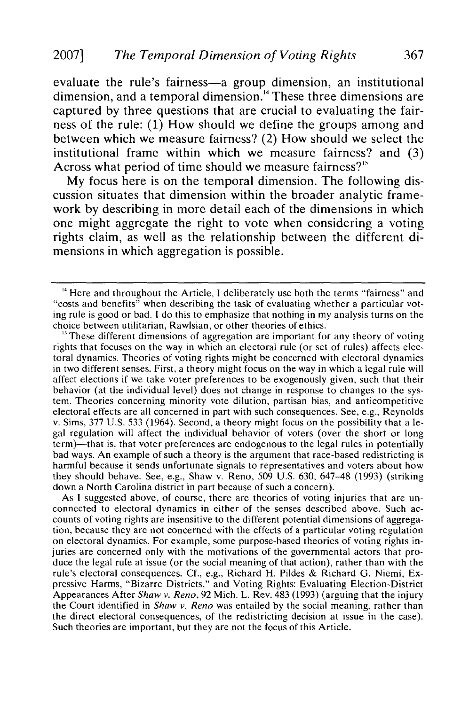evaluate the rule's fairness-a group dimension, an institutional dimension, and a temporal dimension.'4 These three dimensions are captured by three questions that are crucial to evaluating the fairness of the rule: (1) How should we define the groups among and between which we measure fairness? (2) How should we select the institutional frame within which we measure fairness? and (3) Across what period of time should we measure fairness?<sup>15</sup>

My focus here is on the temporal dimension. The following discussion situates that dimension within the broader analytic framework by describing in more detail each of the dimensions in which one might aggregate the right to vote when considering a voting rights claim, as well as the relationship between the different dimensions in which aggregation is possible.

 $<sup>15</sup>$  These different dimensions of aggregation are important for any theory of voting</sup> rights that focuses on the way in which an electoral rule (or set of rules) affects electoral dynamics. Theories of voting rights might be concerned with electoral dynamics in two different senses. First, a theory might focus on the way in which a legal rule will affect elections if we take voter preferences to be exogenously given, such that their behavior (at the individual level) does not change in response to changes to the system. Theories concerning minority vote dilution, partisan bias, and anticompetitive electoral effects are all concerned in part with such consequences. See, e.g., Reynolds v. Sims, 377 U.S. 533 (1964). Second, a theory might focus on the possibility that a legal regulation will affect the individual behavior of voters (over the short or long term)-that is, that voter preferences are endogenous to the legal rules in potentially bad ways. An example of such a theory is the argument that race-based redistricting is harmful because it sends unfortunate signals to representatives and voters about how they should behave. See, e.g., Shaw v. Reno, 509 U.S. 630, 647-48 (1993) (striking down a North Carolina district in part because of such a concern).

As I suggested above, of course, there are theories of voting injuries that are unconnected to electoral dynamics in either of the senses described above. Such accounts of voting rights are insensitive to the different potential dimensions of aggregation, because they are not concerned with the effects of a particular voting regulation on electoral dynamics. For example, some purpose-based theories of voting rights injuries are concerned only with the motivations of the governmental actors that produce the legal rule at issue (or the social meaning of that action), rather than with the rule's electoral consequences. Cf., e.g., Richard H. Pildes & Richard G. Niemi, Expressive Harms, "Bizarre Districts," and Voting Rights: Evaluating Election-District Appearances After *Shaw v. Reno,* 92 Mich. L. Rev. 483 (1993) (arguing that the injury the Court identified in *Shaw v. Reno* was entailed by the social meaning, rather than the direct electoral consequences, of the redistricting decision at issue in the case). Such theories are important, but they are not the focus of this Article.

<sup>&</sup>lt;sup>14</sup> Here and throughout the Article, I deliberately use both the terms "fairness" and "costs and benefits" when describing the task of evaluating whether a particular voting rule is good or bad. I do this to emphasize that nothing in my analysis turns on the choice between utilitarian, Rawlsian, or other theories of ethics.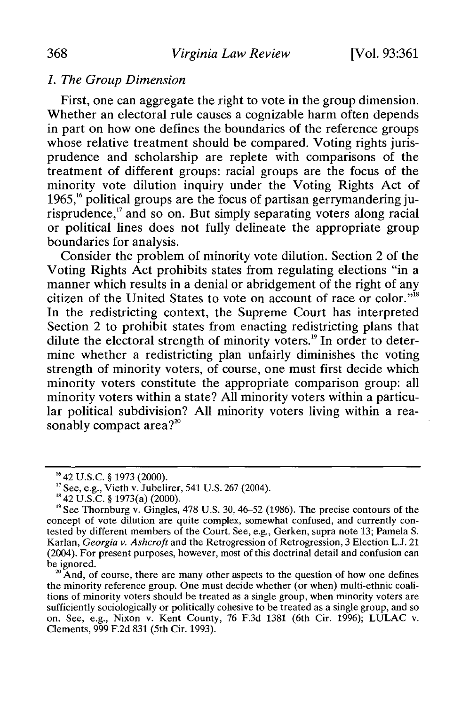# *1. The Group Dimension*

First, one can aggregate the right to vote in the group dimension. Whether an electoral rule causes a cognizable harm often depends in part on how one defines the boundaries of the reference groups whose relative treatment should be compared. Voting rights jurisprudence and scholarship are replete with comparisons of the treatment of different groups: racial groups are the focus of the minority vote dilution inquiry under the Voting Rights Act of  $1965$ ,<sup>16</sup> political groups are the focus of partisan gerrymandering jurisprudence,<sup>17</sup> and so on. But simply separating voters along racial or political lines does not fully delineate the appropriate group boundaries for analysis.

Consider the problem of minority vote dilution. Section 2 of the Voting Rights Act prohibits states from regulating elections "in a manner which results in a denial or abridgement of the right of any citizen of the United States to vote on account of race or color."'8 In the redistricting context, the Supreme Court has interpreted Section 2 to prohibit states from enacting redistricting plans that dilute the electoral strength of minority voters.<sup>19</sup> In order to determine whether a redistricting plan unfairly diminishes the voting strength of minority voters, of course, one must first decide which minority voters constitute the appropriate comparison group: all minority voters within a state? All minority voters within a particular political subdivision? All minority voters living within a reasonably compact area? $2^{20}$ 

 $20^{\circ}$  And, of course, there are many other aspects to the question of how one defines the minority reference group. One must decide whether (or when) multi-ethnic coalitions of minority voters should be treated as a single group, when minority voters are sufficiently sociologically or politically cohesive to be treated as a single group, and so on. See, e.g., Nixon v. Kent County, 76 F.3d 1381 (6th Cir. 1996); LULAC v. Clements, 999 F.2d 831 (5th Cir. 1993).

<sup>&</sup>lt;sup>16</sup> 42 U.S.C. § 1973 (2000).

<sup>&</sup>lt;sup>17</sup> See, e.g., Vieth v. Jubelirer, 541 U.S. 267 (2004)<sup>.</sup><br><sup>18</sup> 42 U.S.C. § 1973(a) (2000).

<sup>&</sup>lt;sup>19</sup> See Thornburg v. Gingles, 478 U.S. 30, 46–52 (1986). The precise contours of the concept of vote dilution are quite complex, somewhat confused, and currently contested by different members of the Court. See, e.g., Gerken, supra note 13; Pamela S. Karlan, *Georgia v. Ashcroft* and the Retrogression of Retrogression, 3 Election L.J. 21 (2004). For present purposes, however, most of this doctrinal detail and confusion can be ignored.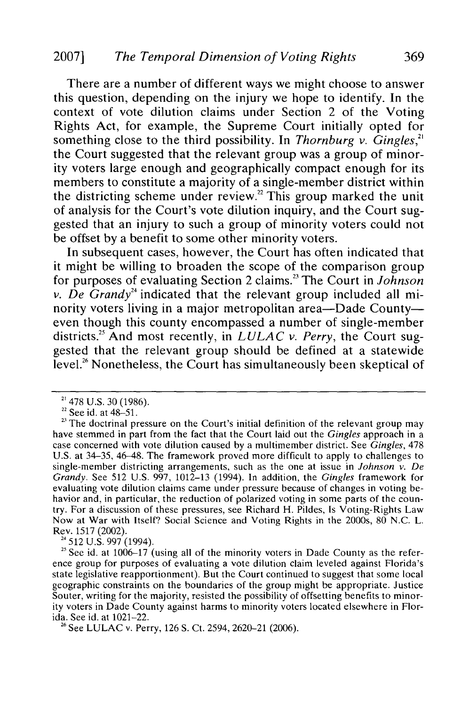## 2007] *The Temporal Dimension of Voting Rights* 369

There are a number of different ways we might choose to answer this question, depending on the injury we hope to identify. In the context of vote dilution claims under Section 2 of the Voting Rights Act, for example, the Supreme Court initially opted for something close to the third possibility. In *Thornburg v. Gingles*,<sup>21</sup> the Court suggested that the relevant group was a group of minority voters large enough and geographically compact enough for its members to constitute a majority of a single-member district withir the districting scheme under review.<sup>22</sup> This group marked the unit of analysis for the Court's vote dilution inquiry, and the Court suggested that an injury to such a group of minority voters could not be offset by a benefit to some other minority voters.

In subsequent cases, however, the Court has often indicated that it might be willing to broaden the scope of the comparison group for purposes of evaluating Section 2 claims.23 The Court in *Johnson v. De Grandy*<sup>24</sup> indicated that the relevant group included all minority voters living in a major metropolitan area—Dade County even though this county encompassed a number of single-member districts.<sup>25</sup> And most recently, in *LULAC v. Perry*, the Court suggested that the relevant group should be defined at a statewide level.<sup>26</sup> Nonetheless, the Court has simultaneously been skeptical of

26 See LULAC v. Perry, 126 **S.** Ct. 2594, 2620-21 (2006).

<sup>&</sup>lt;sup>21</sup> 478 U.S. 30 (1986).

 $22$  See id. at 48-51.

<sup>&</sup>lt;sup>23</sup> The doctrinal pressure on the Court's initial definition of the relevant group may have stemmed in part from the fact that the Court laid out the *Gingles* approach in a case concerned with vote dilution caused by a multimember district. See *Gingles,* 478 U.S. at 34-35, 46-48. The framework proved more difficult to apply to challenges to single-member districting arrangements, such as the one at issue in *Johnson v. De Grandy.* See 512 U.S. 997, 1012-13 (1994). In addition, the *Gingles* framework for evaluating vote dilution claims came under pressure because of changes in voting behavior and, in particular, the reduction of polarized voting in some parts of the country. For a discussion of these pressures, see Richard H. Pildes, Is Voting-Rights Law Now at War with Itself? Social Science and Voting Rights in the 2000s, 80 N.C. L. Rev. 1517 (2002).<br><sup>24</sup> 512 U.S. 997 (1994).

<sup>&</sup>lt;sup>25</sup> See id. at  $1006-17$  (using all of the minority voters in Dade County as the reference group for purposes of evaluating a vote dilution claim leveled against Florida's state legislative reapportionment). But the Court continued to suggest that some local geographic constraints on the boundaries of the group might be appropriate. Justice Souter, writing for the majority, resisted the possibility of offsetting benefits to minority voters in Dade County against harms to minority voters located elsewhere in Florida. See id. at 1021-22.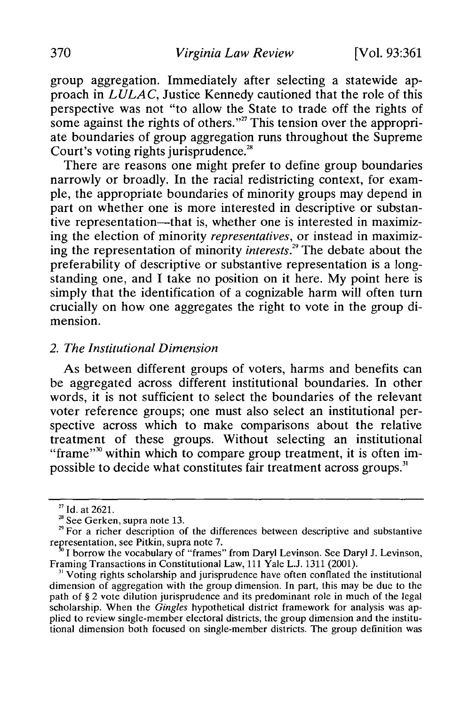group aggregation. Immediately after selecting a statewide approach in *LULAC,* Justice Kennedy cautioned that the role of this perspective was not "to allow the State to trade off the rights of some against the rights of others."<sup>27</sup> This tension over the appropriate boundaries of group aggregation runs throughout the Supreme Court's voting rights jurisprudence.<sup>28</sup>

There are reasons one might prefer to define group boundaries narrowly or broadly. In the racial redistricting context, for example, the appropriate boundaries of minority groups may depend in part on whether one is more interested in descriptive or substantive representation—that is, whether one is interested in maximizing the election of minority *representatives,* or instead in maximizing the representation of minority *interests.29* The debate about the preferability of descriptive or substantive representation is a longstanding one, and I take no position on it here. My point here is simply that the identification of a cognizable harm will often turn crucially on how one aggregates the right to vote in the group dimension.

#### *2. The Institutional Dimension*

As between different groups of voters, harms and benefits can be aggregated across different institutional boundaries. In other words, it is not sufficient to select the boundaries of the relevant voter reference groups; one must also select an institutional perspective across which to make comparisons about the relative treatment of these groups. Without selecting an institutional "frame"<sup>30</sup> within which to compare group treatment, it is often impossible to decide what constitutes fair treatment across groups.<sup>31</sup>

<sup>27</sup> Id. at 2621.

<sup>&</sup>lt;sup>28</sup> See Gerken, supra note 13.<br><sup>29</sup> For a richer description of the differences between descriptive and substantive representation, see Pitkin, supra note 7.

 $\frac{30}{10}$  I borrow the vocabulary of "frames" from Daryl Levinson. See Daryl J. Levinson, Framing Transactions in Constitutional Law, 111 Yale L.J. 1311 (2001).

 $31$  Voting rights scholarship and jurisprudence have often conflated the institutional dimension of aggregation with the group dimension. In part, this may be due to the path of § 2 vote dilution jurisprudence and its predominant role in much of the legal scholarship. When the *Gingles* hypothetical district framework for analysis was applied to review single-member electoral districts, the group dimension and the institutional dimension both focused on single-member districts. The group definition was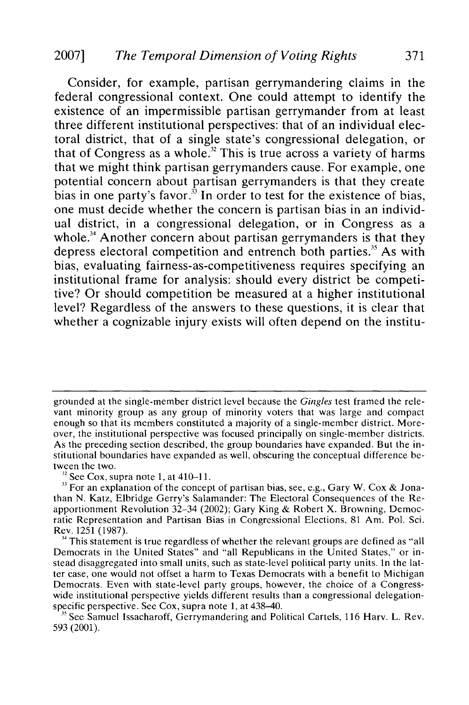# 2007] *The Temporal Dimension of Voting Rights* 371

Consider, for example, partisan gerrymandering claims in the federal congressional context. One could attempt to identify the existence of an impermissible partisan gerrymander from at least three different institutional perspectives: that of an individual electoral district, that of a single state's congressional delegation, or that of Congress as a whole.<sup>32</sup> This is true across a variety of harms that we might think partisan gerrymanders cause. For example, one potential concern about partisan gerrymanders is that they create bias in one party's favor. $3<sup>3</sup>$  In order to test for the existence of bias, one must decide whether the concern is partisan bias in an individual district, in a congressional delegation, or in Congress as a whole.<sup>34</sup> Another concern about partisan gerrymanders is that they depress electoral competition and entrench both parties.<sup>35</sup> As with bias, evaluating fairness-as-competitiveness requires specifying an institutional frame for analysis: should every district be competitive? Or should competition be measured at a higher institutional level? Regardless of the answers to these questions, it is clear that whether a cognizable injury exists will often depend on the institu-

grounded at the single-member district level because the *Gingles* test framed the relevant minority group as any group of minority voters that was large and compact enough so that its members constituted a majority of a single-member district. Moreover, the institutional perspective was focused principally on single-member districts. As the preceding section described, the group boundaries have expanded. But the institutional boundaries have expanded as well, obscuring the conceptual difference between the two.

 $32$  See Cox, supra note 1, at 410-11.

**<sup>3</sup>** For an explanation of the concept of partisan bias, see, e.g., Gary W. Cox & Jonathan N. Katz, Elbridge Gerry's Salamander: The Electoral Consequences of the Reapportionment Revolution 32-34 (2002); Gary King & Robert X. Browning, Democratic Representation and Partisan Bias in Congressional Elections, 81 Am. Pol. Sci. Rev. 1251 (1987).

<sup>&</sup>lt;sup>4</sup> This statement is true regardless of whether the relevant groups are defined as "all Democrats in the United States" and "all Republicans in the United States," or instead disaggregated into small units, such as state-level political party units. In the latter case, one would not offset a harm to Texas Democrats with a benefit to Michigan Democrats. Even with state-level party groups, however, the choice of a Congresswide institutional perspective yields different results than a congressional delegationspecific perspective. See Cox, supra note 1, at 438-40.<br><sup>35</sup> See Samuel Issacharoff, Gerrymandering and Political Cartels, 116 Harv. L. Rev.

<sup>593 (2001).</sup>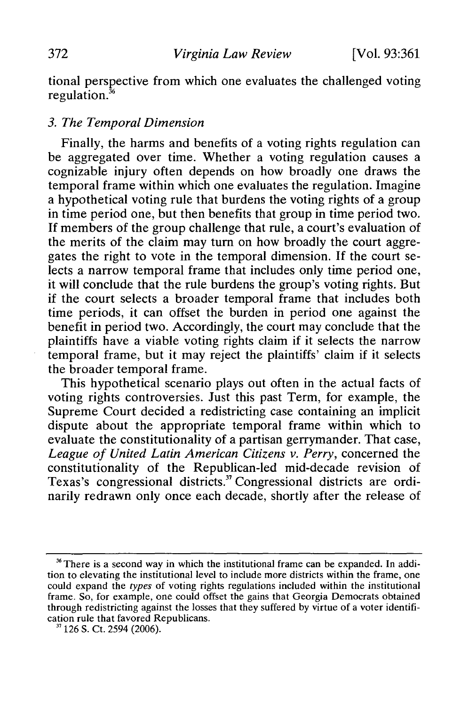tional perspective from which one evaluates the challenged voting regulation. $3<sup>5</sup>$ 

#### *3. The Temporal Dimension*

Finally, the harms and benefits of a voting rights regulation can be aggregated over time. Whether a voting regulation causes a cognizable injury often depends on how broadly one draws the temporal frame within which one evaluates the regulation. Imagine a hypothetical voting rule that burdens the voting rights of a group in time period one, but then benefits that group in time period two. If members of the group challenge that rule, a court's evaluation of the merits of the claim may turn on how broadly the court aggregates the right to vote in the temporal dimension. If the court selects a narrow temporal frame that includes only time period one, it will conclude that the rule burdens the group's voting rights. But if the court selects a broader temporal frame that includes both time periods, it can offset the burden in period one against the benefit in period two. Accordingly, the court may conclude that the plaintiffs have a viable voting rights claim if it selects the narrow temporal frame, but it may reject the plaintiffs' claim if it selects the broader temporal frame.

This hypothetical scenario plays out often in the actual facts of voting rights controversies. Just this past Term, for example, the Supreme Court decided a redistricting case containing an implicit dispute about the appropriate temporal frame within which to evaluate the constitutionality of a partisan gerrymander. That case, *League of United Latin American Citizens v. Perry,* concerned the constitutionality of the Republican-led mid-decade revision of Texas's congressional districts.<sup>37</sup> Congressional districts are ordinarily redrawn only once each decade, shortly after the release of

<sup>&</sup>lt;sup>36</sup> There is a second way in which the institutional frame can be expanded. In addition to elevating the institutional level to include more districts within the frame, one could expand the *types* of voting rights regulations included within the institutional frame. So, for example, one could offset the gains that Georgia Democrats obtained through redistricting against the losses that they suffered by virtue of a voter identification rule that favored Republicans.

**<sup>&</sup>quot;** 126 S. Ct. 2594 (2006).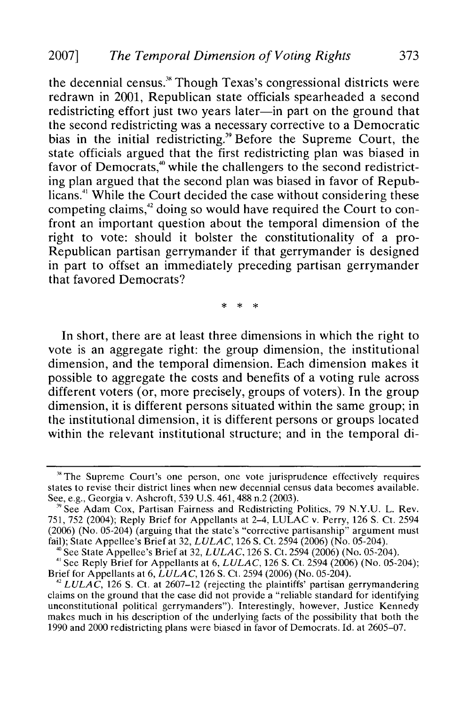the decennial census." Though Texas's congressional districts were redrawn in 2001, Republican state officials spearheaded a second redistricting effort just two years later—in part on the ground that the second redistricting was a necessary corrective to a Democratic bias in the initial redistricting.<sup>39</sup> Before the Supreme Court, the state officials argued that the first redistricting plan was biased in favor of Democrats, $\stackrel{\text{*}}{ }$  while the challengers to the second redistricting plan argued that the second plan was biased in favor of Republicans.<sup>41</sup> While the Court decided the case without considering these competing claims,<sup>42</sup> doing so would have required the Court to confront an important question about the temporal dimension of the right to vote: should it bolster the constitutionality of a pro-Republican partisan gerrymander if that gerrymander is designed in part to offset an immediately preceding partisan gerrymander that favored Democrats?

In short, there are at least three dimensions in which the right to vote is an aggregate right: the group dimension, the institutional dimension, and the temporal dimension. Each dimension makes it possible to aggregate the costs and benefits of a voting rule across different voters (or, more precisely, groups of voters). In the group dimension, it is different persons situated within the same group; in the institutional dimension, it is different persons or groups located within the relevant institutional structure; and in the temporal di-

**<sup>&</sup>quot;** The Supreme Court's one person, one vote jurisprudence effectively requires states to revise their district lines when new decennial census data becomes available. See, e.g., Georgia v. Ashcroft, 539 U.S. 461, 488 n.2 (2003).<br><sup>39</sup> See Adam Cox, Partisan Fairness and Redistricting Politics, 79 N.Y.U. L. Rev.

<sup>751, 752 (2004);</sup> Reply Brief for Appellants at 2-4, LULAC v. Perry, 126 **S.** Ct. 2594 (2006) (No. 05-204) (arguing that the state's "corrective partisanship" argument must fail); State Appellee's Brief at 32, *LULAC,* 126 **S.** Ct. 2594 (2006) (No. 05-204).

**<sup>&#</sup>x27;0** See State Appellee's Brief at 32, *LULAC,* 126 **S.** Ct. 2594 (2006) (No. 05-204). *<sup>41</sup>*See Reply Brief for Appellants at 6, *LULAC,* 126 **S.** Ct. 2594 (2006) (No. 05-204); Brief for Appellants at 6, *LULAC*, 126 S. Ct. 2594 (2006) (No. 05-204).<br><sup>42</sup> *LULAC*, 126 S. Ct. at 2607–12 (rejecting the plaintiffs' partisan gerrymandering

claims on the ground that the case did not provide a "reliable standard for identifying unconstitutional political gerrymanders"). Interestingly, however, Justice Kennedy makes much in his description of the underlying facts of the possibility that both the 1990 and 2000 redistricting plans were biased in favor of Democrats. Id. at 2605-07.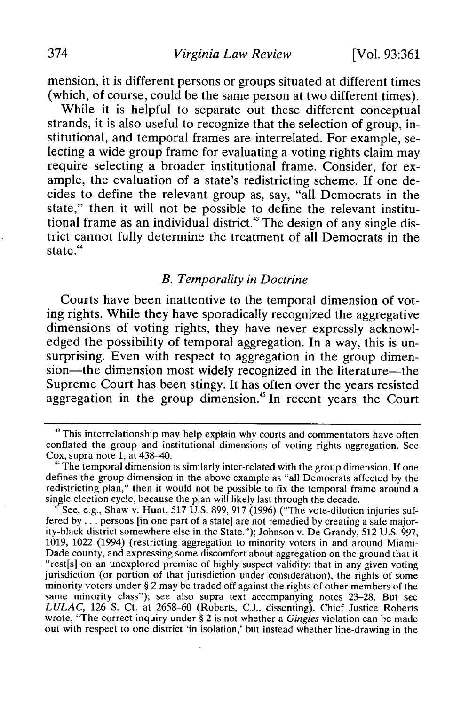mension, it is different persons or groups situated at different times (which, of course, could be the same person at two different times).

While it is helpful to separate out these different conceptual strands, it is also useful to recognize that the selection of group, institutional, and temporal frames are interrelated. For example, selecting a wide group frame for evaluating a voting rights claim may require selecting a broader institutional frame. Consider, for example, the evaluation of a state's redistricting scheme. **If** one decides to define the relevant group as, say, "all Democrats in the state," then it will not be possible to define the relevant institutional frame as an individual district.<sup>43</sup> The design of any single district cannot fully determine the treatment of all Democrats in the state **."4**

#### *B. Temporality in Doctrine*

Courts have been inattentive to the temporal dimension of voting rights. While they have sporadically recognized the aggregative dimensions of voting rights, they have never expressly acknowledged the possibility of temporal aggregation. In a way, this is unsurprising. Even with respect to aggregation in the group dimension—the dimension most widely recognized in the literature—the Supreme Court has been stingy. It has often over the years resisted aggregation in the group dimension.45 **In** recent years the Court

See, e.g., Shaw v. Hunt, **517 U.S. 899, 917 (1996)** ("The vote-dilution injuries suffered **by...** persons [in one part of a state] are not remedied **by** creating a safe majority-black district somewhere else in the State."); Johnson v. De Grandy, **512 U.S. 997, 1019,** 1022 (1994) (restricting aggregation to minority voters in and around Miami-Dade county, and expressing some discomfort about aggregation on the ground that it "rest[s] on an unexplored premise of **highly** suspect validity: that in any given voting jurisdiction (or portion of that jurisdiction under consideration), the rights of some minority voters under **§** 2 may be traded off against the rights of other members of the same minority class"); see also supra text accompanying notes **23-28.** But see *LULAC,* **126 S.** Ct. at **2658-60** (Roberts, **C.J.,** dissenting). Chief Justice Roberts wrote, "The correct inquiry under **§** 2 is not whether a *Gingles* violation can be made out with respect to one district 'in isolation,' but instead whether line-drawing in the

<sup>&</sup>lt;sup>43</sup> This interrelationship may help explain why courts and commentators have often conflated the group and institutional dimensions of voting rights aggregation. See Cox, supra note **1,** at 438-40.

**<sup>&</sup>quot;** The temporal dimension is similarly inter-related with the group dimension. **If** one defines the group dimension in the above example as "all Democrats affected **by** the redistricting plan," then it would not be possible to fix the temporal frame around a single election cycle, because the plan will likely last through the decade.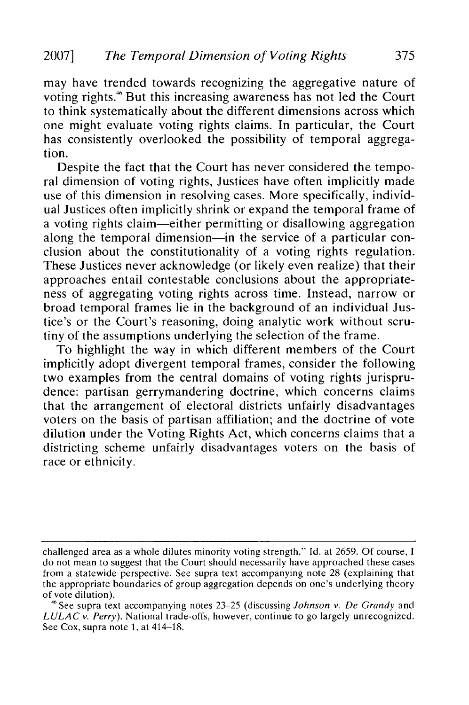may have trended towards recognizing the aggregative nature of voting rights." But this increasing awareness has not led the Court to think systematically about the different dimensions across which one might evaluate voting rights claims. In particular, the Court has consistently overlooked the possibility of temporal aggregation.

Despite the fact that the Court has never considered the temporal dimension of voting rights, Justices have often implicitly made use of this dimension in resolving cases. More specifically, individual Justices often implicitly shrink or expand the temporal frame of a voting rights claim-either permitting or disallowing aggregation along the temporal dimension—in the service of a particular conclusion about the constitutionality of a voting rights regulation. These Justices never acknowledge (or likely even realize) that their approaches entail contestable conclusions about the appropriateness of aggregating voting rights across time. Instead, narrow or broad temporal frames lie in the background of an individual Justice's or the Court's reasoning, doing analytic work without scrutiny of the assumptions underlying the selection of the frame.

To highlight the way in which different members of the Court implicitly adopt divergent temporal frames, consider the following two examples from the central domains of voting rights jurisprudence: partisan gerrymandering doctrine, which concerns claims that the arrangement of electoral districts unfairly disadvantages voters on the basis of partisan affiliation; and the doctrine of vote dilution under the Voting Rights Act, which concerns claims that a districting scheme unfairly disadvantages voters on the basis of race or ethnicity.

challenged area as a whole dilutes minority voting strength." Id. at 2659. Of course, I do not mean to suggest that the Court should necessarily have approached these cases from a statewide perspective. See supra text accompanying note 28 (explaining that the appropriate boundaries of group aggregation depends on one's underlying theory of vote dilution). **<sup>46</sup>**See supra text accompanying notes 23-25 (discussing *Johnson v. De Grandy* and

*LULAC v. Perry).* National trade-offs, however, continue to go largely unrecognized. See Cox, supra note 1, at 414–18.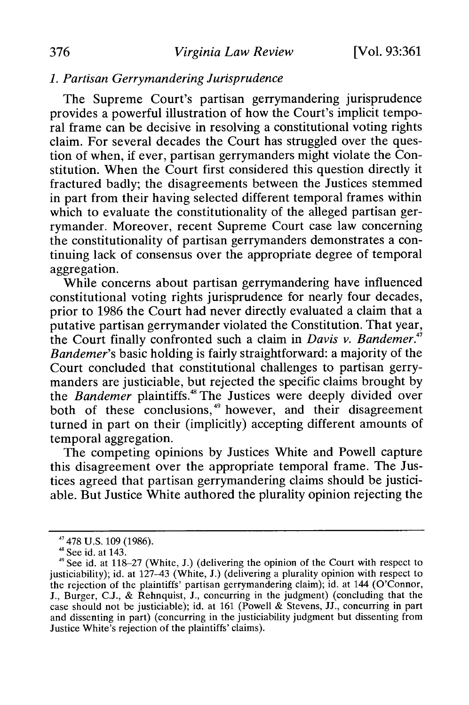## *1. Partisan Gerrymandering Jurisprudence*

The Supreme Court's partisan gerrymandering jurisprudence provides a powerful illustration of how the Court's implicit temporal frame can be decisive in resolving a constitutional voting rights claim. For several decades the Court has struggled over the question of when, if ever, partisan gerrymanders might violate the Constitution. When the Court first considered this question directly it fractured badly; the disagreements between the Justices stemmed in part from their having selected different temporal frames within which to evaluate the constitutionality of the alleged partisan gerrymander. Moreover, recent Supreme Court case law concerning the constitutionality of partisan gerrymanders demonstrates a continuing lack of consensus over the appropriate degree of temporal aggregation.

While concerns about partisan gerrymandering have influenced constitutional voting rights jurisprudence for nearly four decades, prior to 1986 the Court had never directly evaluated a claim that a putative partisan gerrymander violated the Constitution. That year, the Court finally confronted such a claim in *Davis v. Bandemer."7 Bandemer's* basic holding is fairly straightforward: a majority of the Court concluded that constitutional challenges to partisan gerrymanders are justiciable, but rejected the specific claims brought by the *Bandemer* plaintiffs.<sup>48</sup> The Justices were deeply divided over both of these conclusions,<sup>49</sup> however, and their disagreement turned in part on their (implicitly) accepting different amounts of temporal aggregation.

The competing opinions by Justices White and Powell capture this disagreement over the appropriate temporal frame. The Justices agreed that partisan gerrymandering claims should be justiciable. But Justice White authored the plurality opinion rejecting the

**<sup>&</sup>quot;** 478 U.S. 109 (1986). 48 See id. at 143.

 $49$  See id. at 118-27 (White, J.) (delivering the opinion of the Court with respect to justiciability); id. at 127-43 (White, J.) (delivering a plurality opinion with respect to the rejection of the plaintiffs' partisan gerrymandering claim); id. at 144 (O'Connor, J., Burger, **C.J.,** & Rehnquist, **J.,** concurring in the judgment) (concluding that the case should not be justiciable); id. at 161 (Powell & Stevens, JJ., concurring in part and dissenting in part) (concurring in the justiciability judgment but dissenting from Justice White's rejection of the plaintiffs' claims).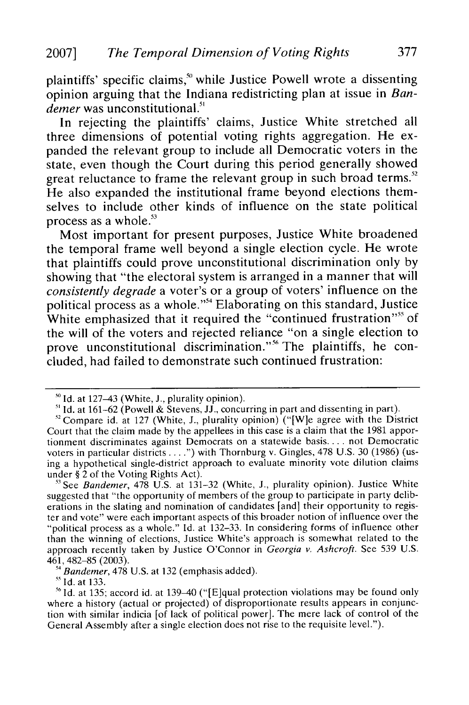plaintiffs' specific claims,<sup>50</sup> while Justice Powell wrote a dissenting opinion arguing that the Indiana redistricting plan at issue in *Bandemer* was unconstitutional.<sup>51</sup>

In rejecting the plaintiffs' claims, Justice White stretched all three dimensions of potential voting rights aggregation. He expanded the relevant group to include all Democratic voters in the state, even though the Court during this period generally showed great reluctance to frame the relevant group in such broad terms.<sup>52</sup> He also expanded the institutional frame beyond elections themselves to include other kinds of influence on the state political process as a whole.<sup>53</sup>

Most important for present purposes, Justice White broadened the temporal frame well beyond a single election cycle. He wrote that plaintiffs could prove unconstitutional discrimination only by showing that "the electoral system is arranged in a manner that will *consistently degrade* a voter's or a group of voters' influence on the political process as a whole."54 Elaborating on this standard, Justice White emphasized that it required the "continued frustration"<sup>55</sup> of the will of the voters and rejected reliance "on a single election to prove unconstitutional discrimination."<sup>56</sup> The plaintiffs, he concluded, had failed to demonstrate such continued frustration:

 $\overline{\phantom{a}}$  Id. at 133.

**<sup>&#</sup>x27;o Id.** at 127-43 (White, **J.,** plurality opinion).

**<sup>S</sup>**Id. at 161-62 (Powell & Stevens, JJ., concurring in part and dissenting in part).

 $12$ <sup>2</sup> Compare id. at 127 (White, J., plurality opinion) ("[W]e agree with the District Court that the claim made by the appellees in this case is a claim that the 1981 apportionment discriminates against Democrats on a statewide basis **....** not Democratic voters in particular districts **....** ) with Thornburg v. Gingles, **478** U.S. 30 (1986) (using a hypothetical single-district approach to evaluate minority vote dilution claims under § 2 of the Voting Rights Act).

**<sup>13</sup>**See *Bandemer,* **478** U.S. at 131-32 (White, J., plurality opinion). Justice White suggested that "the opportunity of members of the group to participate in party deliberations in the slating and nomination of candidates [and] their opportunity to register and vote" were each important aspects of this broader notion of influence over the "political process as a whole." **Id.** at 132-33. In considering forms of influence other than the winning of elections, Justice White's approach is somewhat related to the approach recently taken by Justice O'Connor in *Georgia v. Ashcroft.* See 539 U.S. 461,482-85 (2003).

**s'** *Bandemer,* 478 U.S. at 132 (emphasis added).

<sup>&</sup>lt;sup>56</sup> Id. at 135; accord id. at 139-40 ("[E]qual protection violations may be found only where a history (actual or projected) of disproportionate results appears in conjunction with similar indicia [of lack of political power]. The mere lack of control of the General Assembly after a single election does not rise to the requisite level.").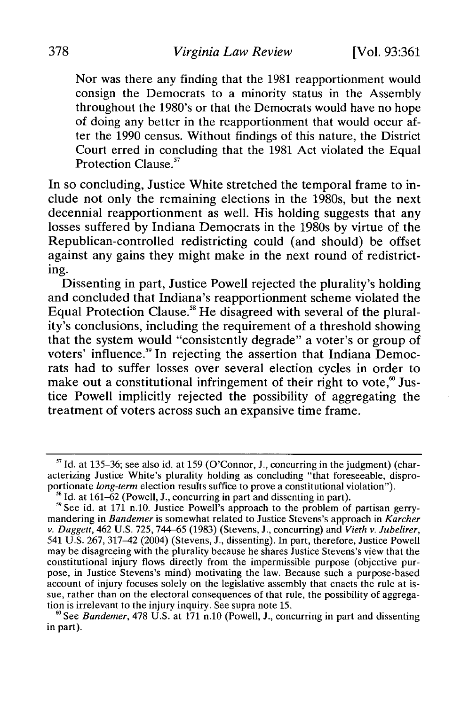Nor was there any finding that the 1981 reapportionment would consign the Democrats to a minority status in the Assembly throughout the 1980's or that the Democrats would have no hope of doing any better in the reapportionment that would occur after the 1990 census. Without findings of this nature, the District Court erred in concluding that the 1981 Act violated the Equal Protection Clause.<sup>57</sup>

In so concluding, Justice White stretched the temporal frame to include not only the remaining elections in the 1980s, but the next decennial reapportionment as well. His holding suggests that any losses suffered by Indiana Democrats in the 1980s by virtue of the Republican-controlled redistricting could (and should) be offset against any gains they might make in the next round of redistricting.

Dissenting in part, Justice Powell rejected the plurality's holding and concluded that Indiana's reapportionment scheme violated the Equal Protection Clause.<sup>58</sup> He disagreed with several of the plurality's conclusions, including the requirement of a threshold showing that the system would "consistently degrade" a voter's or group of voters' influence.<sup>59</sup> In rejecting the assertion that Indiana Democrats had to suffer losses over several election cycles in order to make out a constitutional infringement of their right to vote,<sup>60</sup> Justice Powell implicitly rejected the possibility of aggregating the treatment of voters across such an expansive time frame.

<sup>&</sup>lt;sup>57</sup> Id. at 135-36; see also id. at 159 (O'Connor, J., concurring in the judgment) (characterizing Justice White's plurality holding as concluding "that foreseeable, disproportionate *long-term* election results suffice to prove a constitutional violation"). **<sup>5</sup>**

**<sup>8</sup>**Id. at 161-62 (Powell, J., concurring in part and dissenting in part).

<sup>&</sup>quot;See id. at 171 n.10. Justice Powell's approach to the problem of partisan gerrymandering in *Bandemer* is somewhat related to Justice Stevens's approach in *Karcher v. Daggett,* 462 U.S. 725, 744-65 (1983) (Stevens, J., concurring) and *Vieth v. Jubelirer,* 541 U.S. 267, 317-42 (2004) (Stevens, J., dissenting). In part, therefore, Justice Powell may be disagreeing with the plurality because he shares Justice Stevens's view that the constitutional injury flows directly from the impermissible purpose (objective purpose, in Justice Stevens's mind) motivating the law. Because such a purpose-based account of injury focuses solely on the legislative assembly that enacts the rule at issue, rather than on the electoral consequences of that rule, the possibility of aggregation is irrelevant to the injury inquiry. See supra note 15.

<sup>&</sup>lt;sup>60</sup> See *Bandemer*, 478 U.S. at 171 n.10 (Powell, J., concurring in part and dissenting in part).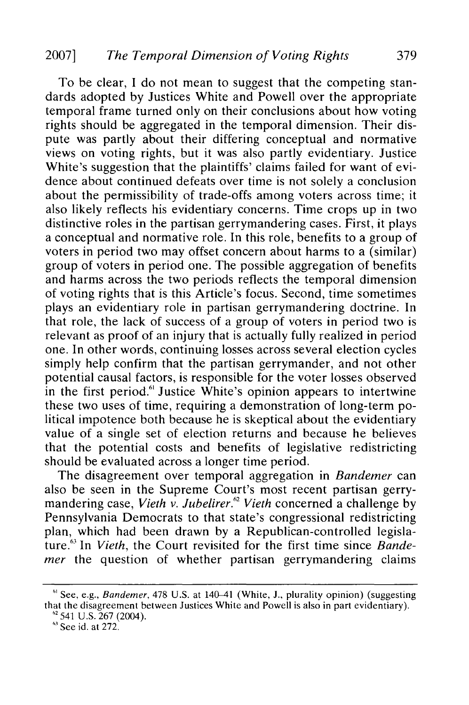To be clear, I do not mean to suggest that the competing standards adopted by Justices White and Powell over the appropriate temporal frame turned only on their conclusions about how voting rights should be aggregated in the temporal dimension. Their dispute was partly about their differing conceptual and normative views on voting rights, but it was also partly evidentiary. Justice White's suggestion that the plaintiffs' claims failed for want of evidence about continued defeats over time is not solely a conclusion about the permissibility of trade-offs among voters across time; it also likely reflects his evidentiary concerns. Time crops up in two distinctive roles in the partisan gerrymandering cases. First, it plays a conceptual and normative role. In this role, benefits to a group of voters in period two may offset concern about harms to a (similar) group of voters in period one. The possible aggregation of benefits and harms across the two periods reflects the temporal dimension of voting rights that is this Article's focus. Second, time sometimes plays an evidentiary role in partisan gerrymandering doctrine. In that role, the lack of success of a group of voters in period two is relevant as proof of an injury that is actually fully realized in period one. In other words, continuing losses across several election cycles simply help confirm that the partisan gerrymander, and not other potential causal factors, is responsible for the voter losses observed in the first period.<sup>61</sup> Justice White's opinion appears to intertwine these two uses of time, requiring a demonstration of long-term political impotence both because he is skeptical about the evidentiary value of a single set of election returns and because he believes that the potential costs and benefits of legislative redistricting should be evaluated across a longer time period.

The disagreement over temporal aggregation in *Bandemer* can also be seen in the Supreme Court's most recent partisan gerrymandering case, Vieth v. Jubelirer.<sup>62</sup> Vieth concerned a challenge by Pennsylvania Democrats to that state's congressional redistricting plan, which had been drawn by a Republican-controlled legislature.<sup>63</sup> In *Vieth*, the Court revisited for the first time since *Bandemer* the question of whether partisan gerrymandering claims

<sup>&</sup>lt;sup>61</sup> See, e.g., Bandemer, 478 U.S. at 140-41 (White, J., plurality opinion) (suggesting that the disagreement between Justices White and Powell is also in part evidentiary).<br><sup>62</sup>541 U.S. 267 (2004).

 $<sup>63</sup>$  See id. at 272.</sup>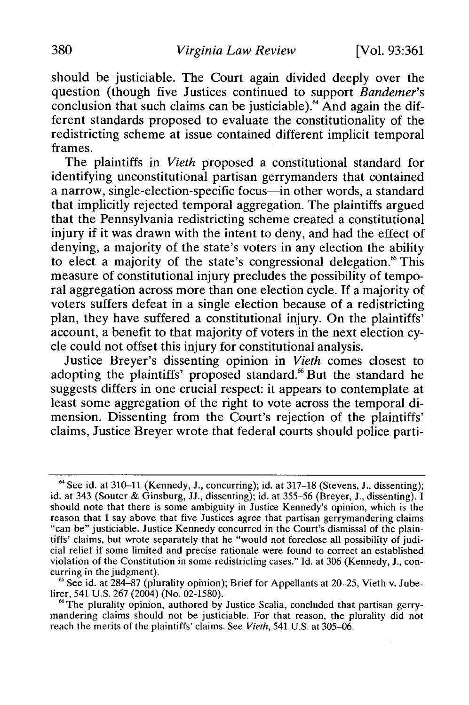should be justiciable. The Court again divided deeply over the question (though five Justices continued to support *Bandemer's* conclusion that such claims can be justiciable). $64$  And again the different standards proposed to evaluate the constitutionality of the redistricting scheme at issue contained different implicit temporal frames.

The plaintiffs in *Vieth* proposed a constitutional standard for identifying unconstitutional partisan gerrymanders that contained a narrow, single-election-specific focus-in other words, a standard that implicitly rejected temporal aggregation. The plaintiffs argued that the Pennsylvania redistricting scheme created a constitutional injury if it was drawn with the intent to deny, and had the effect of denying, a majority of the state's voters in any election the ability to elect a majority of the state's congressional delegation.<sup>65</sup> This measure of constitutional injury precludes the possibility of temporal aggregation across more than one election cycle. If a majority of voters suffers defeat in a single election because of a redistricting plan, they have suffered a constitutional injury. On the plaintiffs' account, a benefit to that majority of voters in the next election cycle could not offset this injury for constitutional analysis.

Justice Breyer's dissenting opinion in *Vieth* comes closest to adopting the plaintiffs' proposed standard.<sup>66</sup> But the standard he suggests differs in one crucial respect: it appears to contemplate at least some aggregation of the right to vote across the temporal dimension. Dissenting from the Court's rejection of the plaintiffs' claims, Justice Breyer wrote that federal courts should police parti-

<sup>&</sup>lt;sup>64</sup> See id. at 310-11 (Kennedy, J., concurring); id. at 317-18 (Stevens, J., dissenting); id. at 343 (Souter & Ginsburg, JJ., dissenting); id. at 355-56 (Breyer, J., dissenting). I should note that there is some ambiguity in Justice Kennedy's opinion, which is the reason that I say above that five Justices agree that partisan gerrymandering claims "can be" justiciable. Justice Kennedy concurred in the Court's dismissal of the plaintiffs' claims, but wrote separately that he "would not foreclose all possibility of judicial relief if some limited and precise rationale were found to correct an established violation of the Constitution in some redistricting cases." Id. at 306 (Kennedy, J., concurring in the judgment).

<sup>&</sup>lt;sup>65</sup> See id. at 284-87 (plurality opinion); Brief for Appellants at 20-25, Vieth v. Jubelirer, 541 U.S. 267 (2004) (No. 02-1580).

**<sup>6</sup>** The plurality opinion, authored by Justice Scalia, concluded that partisan gerrymandering claims should not be justiciable. For that reason, the plurality did not reach the merits of the plaintiffs' claims. See *Vieth,* 541 U.S. at 305-06.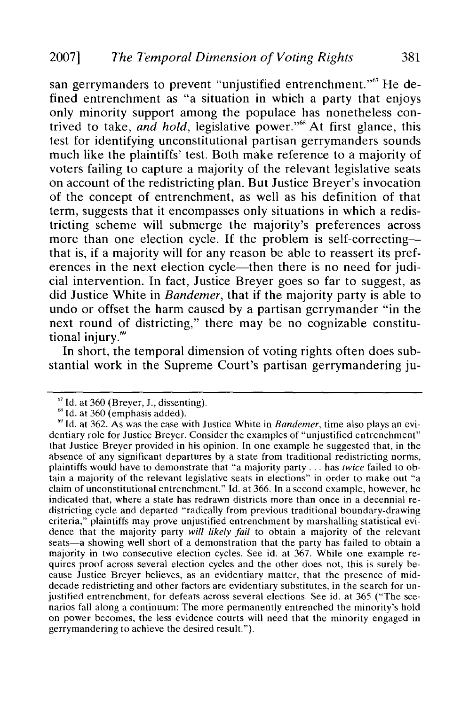san gerrymanders to prevent "unjustified entrenchment."<sup>67</sup> He defined entrenchment as "a situation in which a party that enjoys only minority support among the populace has nonetheless contrived to take, *and hold*, legislative power."<sup>8</sup> At first glance, this test for identifying unconstitutional partisan gerrymanders sounds much like the plaintiffs' test. Both make reference to a majority of voters failing to capture a majority of the relevant legislative seats on account of the redistricting plan. But Justice Breyer's invocation of the concept of entrenchment, as well as his definition of that term, suggests that it encompasses only situations in which a redistricting scheme will submerge the majority's preferences across more than one election cycle. If the problem is self-correctingthat is, if a majority will for any reason be able to reassert its preferences in the next election cycle-then there is no need for judicial intervention. In fact, Justice Breyer goes so far to suggest, as did Justice White in *Bandemer,* that if the majority party is able to undo or offset the harm caused by a partisan gerrymander "in the next round of districting," there may be no cognizable constitutional injury.<sup>69</sup>

In short, the temporal dimension of voting rights often does substantial work in the Supreme Court's partisan gerrymandering ju-

<sup>&</sup>lt;sup>67</sup> Id. at 360 (Breyer, J., dissenting).

<sup>&</sup>lt;sup>68</sup> Id. at 360 (emphasis added).

<sup>&</sup>lt;sup>6</sup> Id. at 362. As was the case with Justice White in *Bandemer*, time also plays an evidentiary role for Justice Breyer. Consider the examples of "unjustified entrenchment" that Justice Breyer provided in his opinion. In one example he suggested that, in the absence of any significant departures by a state from traditional redistricting norms, plaintiffs would have to demonstrate that "a majority party **...** has *twice* failed to obtain a majority of the relevant legislative seats in elections" in order to make out "a claim of unconstitutional entrenchment." Id. at 366. In a second example, however, he indicated that, where a state has redrawn districts more than once in a decennial redistricting cycle and departed "radically from previous traditional boundary-drawing criteria," plaintiffs may prove unjustified entrenchment by marshalling statistical evidence that the majority party *will likely fail* to obtain a majority of the relevant seats—a showing well short of a demonstration that the party has failed to obtain a majority in two consecutive election cycles. See id. at 367. While one example requires proof across several election cycles and the other does not, this is surely be- cause Justice Breyer believes, as an evidentiary matter, that the presence of middecade redistricting and other factors are evidentiary substitutes, in the search for unjustified entrenchment, for defeats across several elections. See id. at 365 ("The scenarios fall along a continuum: The more permanently entrenched the minority's hold on power becomes, the less evidence courts will need that the minority engaged in gerrymandering to achieve the desired result.").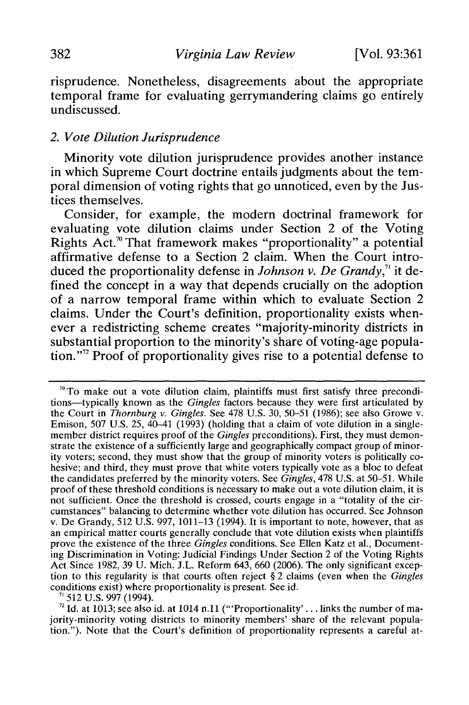risprudence. Nonetheless, disagreements about the appropriate temporal frame for evaluating gerrymandering claims go entirely undiscussed.

## *2. Vote Dilution Jurisprudence*

Minority vote dilution jurisprudence provides another instance in which Supreme Court doctrine entails judgments about the temporal dimension of voting rights that go unnoticed, even by the Justices themselves.

Consider, for example, the modern doctrinal framework for evaluating vote dilution claims under Section 2 of the Voting Rights Act.<sup>70</sup> That framework makes "proportionality" a potential affirmative defense to a Section 2 claim. When the Court introduced the proportionality defense in *Johnson v. De Grandy*,<sup> $n$ </sup> it defined the concept in a way that depends crucially on the adoption of a narrow temporal frame within which to evaluate Section 2 claims. Under the Court's definition, proportionality exists whenever a redistricting scheme creates "majority-minority districts in substantial proportion to the minority's share of voting-age population."<sup>2</sup> Proof of proportionality gives rise to a potential defense to

 $71$  512 U.S. 997 (1994).

 $72$  Id. at 1013; see also id. at 1014 n.11 ("Proportionality'... links the number of majority-minority voting districts to minority members' share of the relevant population."). Note that the Court's definition of proportionality represents a careful at-

**<sup>70</sup>**To make out a vote dilution claim, plaintiffs must first satisfy three preconditions-typically known as the *Gingles* factors because they were first articulated by the Court in *Thornburg v. Gingles.* See 478 U.S. 30, 50-51 (1986); see also Growe v. Emison, 507 U.S. 25, 40-41 (1993) (holding that a claim of vote dilution in a singlemember district requires proof of the *Gingles* preconditions). First, they must demonstrate the existence of a sufficiently large and geographically compact group of minority voters; second, they must show that the group of minority voters is politically cohesive; and third, they must prove that white voters typically vote as a bloc to defeat the candidates preferred by the minority voters. See *Gingles,* 478 U.S. at 50-51. While proof of these threshold conditions is necessary to make out a vote dilution claim, it is not sufficient. Once the threshold is crossed, courts engage in a "totality of the circumstances" balancing to determine whether vote dilution has occurred. See Johnson v. De Grandy, 512 U.S. 997, 1011-13 (1994). It is important to note, however, that as an empirical matter courts generally conclude that vote dilution exists when plaintiffs prove the existence of the three *Gingles* conditions. See Ellen Katz et al., Documenting Discrimination in Voting: Judicial Findings Under Section 2 of the Voting Rights Act Since 1982, 39 U. Mich. J.L. Reform 643, 660 (2006). The only significant exception to this regularity is that courts often reject § 2 claims (even when the *Gingles* conditions exist) where proportionality is present. See id.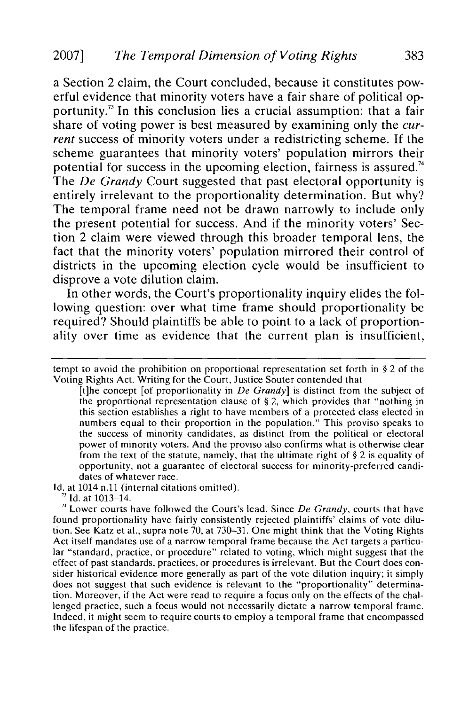a Section 2 claim, the Court concluded, because it constitutes powerful evidence that minority voters have a fair share of political opportunity.<sup>73</sup> In this conclusion lies a crucial assumption: that a fair share of voting power is best measured by examining only the *current* success of minority voters under a redistricting scheme. If the scheme guarantees that minority voters' population mirrors their potential for success in the upcoming election, fairness is assured.<sup>74</sup> The *De Grandy* Court suggested that past electoral opportunity is entirely irrelevant to the proportionality determination. But why? The temporal frame need not be drawn narrowly to include only the present potential for success. And if the minority voters' Section 2 claim were viewed through this broader temporal lens, the fact that the minority voters' population mirrored their control of districts in the upcoming election cycle would be insufficient to disprove a vote dilution claim.

In other words, the Court's proportionality inquiry elides the following question: over what time frame should proportionality be required? Should plaintiffs be able to point to a lack of proportionality over time as evidence that the current plan is insufficient,

**Id.** at 1014 n.11 (internal citations omitted).

**Id.** at 1013-14.

tempt to avoid the prohibition on proportional representation set forth in § 2 of the Voting Rights Act. Writing for the Court, Justice Souter contended that

<sup>[</sup>t]he concept [of proportionality in *De Grandy]* is distinct from the subject of the proportional representation clause of § 2, which provides that "nothing in this section establishes a right to have members of a protected class elected in numbers equal to their proportion in the population." This proviso speaks to the success of minority candidates, as distinct from the political or electoral power of minority voters. And the proviso also confirms what is otherwise clear from the text of the statute, namely, that the ultimate right of § 2 is equality of opportunity, not a guarantee of electoral success for minority-preferred candidates of whatever race.

<sup>7&#</sup>x27; Lower courts have followed the Court's lead. Since *De Grandy,* courts that have found proportionality have fairly consistently rejected plaintiffs' claims of vote dilution. See Katz et al., supra note **70,** at 730-31. One might think that the Voting Rights Act itself mandates use of a narrow temporal frame because the Act targets a particular "standard, practice, or procedure" related to voting, which might suggest that the effect of past standards, practices, or procedures is irrelevant. But the Court does consider historical evidence more generally as part of the vote dilution inquiry; it simply does not suggest that such evidence is relevant to the "proportionality" determination. Moreover, if the Act were read to require a focus only on the effects of the challenged practice, such a focus would not necessarily dictate a narrow temporal frame. Indeed, it might seem to require courts to employ a temporal frame that encompassed the lifespan of the practice.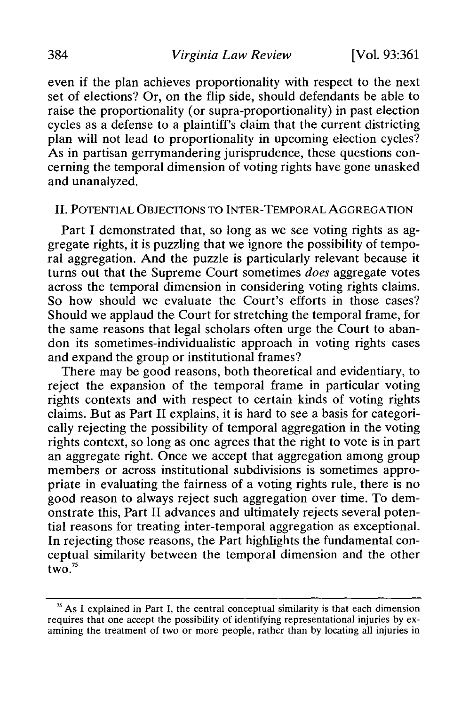even if the plan achieves proportionality with respect to the next set of elections? Or, on the flip side, should defendants be able to raise the proportionality (or supra-proportionality) in past election cycles as a defense to a plaintiff's claim that the current districting plan will not lead to proportionality in upcoming election cycles? As in partisan gerrymandering jurisprudence, these questions concerning the temporal dimension of voting rights have gone unasked and unanalyzed.

#### II. POTENTIAL OBJECTIONS TO INTER-TEMPORAL AGGREGATION

Part I demonstrated that, so long as we see voting rights as aggregate rights, it is puzzling that we ignore the possibility of temporal aggregation. And the puzzle is particularly relevant because it turns out that the Supreme Court sometimes *does* aggregate votes across the temporal dimension in considering voting rights claims. So how should we evaluate the Court's efforts in those cases? Should we applaud the Court for stretching the temporal frame, for the same reasons that legal scholars often urge the Court to abandon its sometimes-individualistic approach in voting rights cases and expand the group or institutional frames?

There may be good reasons, both theoretical and evidentiary, to reject the expansion of the temporal frame in particular voting rights contexts and with respect to certain kinds of voting rights claims. But as Part II explains, it is hard to see a basis for categorically rejecting the possibility of temporal aggregation in the voting rights context, so long as one agrees that the right to vote is in part an aggregate right. Once we accept that aggregation among group members or across institutional subdivisions is sometimes appropriate in evaluating the fairness of a voting rights rule, there is no good reason to always reject such aggregation over time. To demonstrate this, Part II advances and ultimately rejects several potential reasons for treating inter-temporal aggregation as exceptional. In rejecting those reasons, the Part highlights the fundamental conceptual similarity between the temporal dimension and the other  $\frac{1}{2}$ two. $\frac{75}{2}$ 

<sup>&</sup>lt;sup>75</sup> As I explained in Part I, the central conceptual similarity is that each dimension requires that one accept the possibility of identifying representational injuries by examining the treatment of two or more people, rather than by locating all injuries in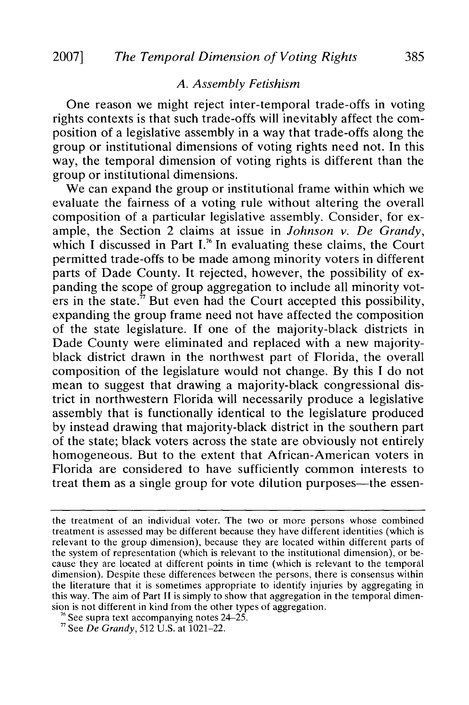#### *A. Assembly Fetishism*

One reason we might reject inter-temporal trade-offs in voting rights contexts is that such trade-offs will inevitably affect the composition of a legislative assembly in a way that trade-offs along the group or institutional dimensions of voting rights need not. In this way, the temporal dimension of voting rights is different than the group or institutional dimensions.

We can expand the group or institutional frame within which we evaluate the fairness of a voting rule without altering the overall composition of a particular legislative assembly. Consider, for example, the Section 2 claims at issue in *Johnson v. De Grandy,* which I discussed in Part  $I^{*6}$  In evaluating these claims, the Court permitted trade-offs to be made among minority voters in different parts of Dade County. It rejected, however, the possibility of expanding the scope of group aggregation to include all minority voters in the state. $\pi$  But even had the Court accepted this possibility, expanding the group frame need not have affected the composition of the state legislature. If one of the majority-black districts in Dade County were eliminated and replaced with a new majorityblack district drawn in the northwest part of Florida, the overall composition of the legislature would not change. By this I do not mean to suggest that drawing a majority-black congressional district in northwestern Florida will necessarily produce a legislative assembly that is functionally identical to the legislature produced by instead drawing that majority-black district in the southern part of the state; black voters across the state are obviously not entirely homogeneous. But to the extent that African-American voters in Florida are considered to have sufficiently common interests to treat them as a single group for vote dilution purposes—the essen-

the treatment of an individual voter. The two or more persons whose combined treatment is assessed may be different because they have different identities (which is relevant to the group dimension), because they are located within different parts of the system of representation (which is relevant to the institutional dimension), or because they are located at different points in time (which is relevant to the temporal dimension). Despite these differences between the persons, there is consensus within the literature that it is sometimes appropriate to identify injuries by aggregating in this way. The aim of Part II is simply to show that aggregation in the temporal dimension is not different in kind from the other types of aggregation.

 $76$  See supra text accompanying notes 24–25.

See *De Grandy,* 512 U.S. at 1021-22.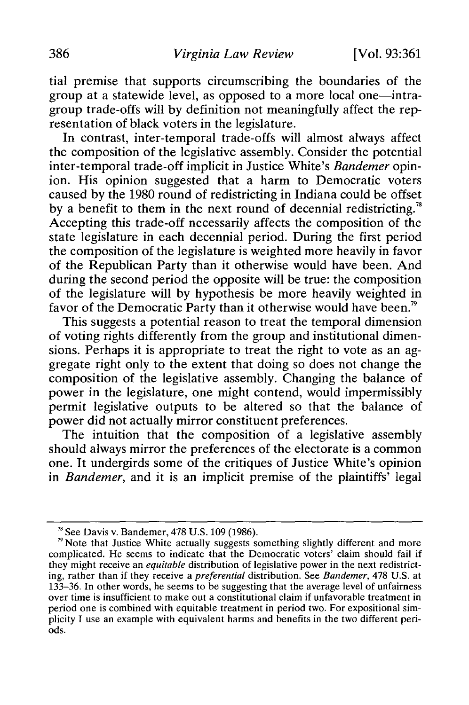tial premise that supports circumscribing the boundaries of the group at a statewide level, as opposed to a more local one-intragroup trade-offs will by definition not meaningfully affect the representation of black voters in the legislature.

In contrast, inter-temporal trade-offs will almost always affect the composition of the legislative assembly. Consider the potential inter-temporal trade-off implicit in Justice White's *Bandemer* opinion. His opinion suggested that a harm to Democratic voters caused by the 1980 round of redistricting in Indiana could be offset by a benefit to them in the next round of decennial redistricting.<sup>78</sup> Accepting this trade-off necessarily affects the composition of the state legislature in each decennial period. During the first period the composition of the legislature is weighted more heavily in favor of the Republican Party than it otherwise would have been. And during the second period the opposite will be true: the composition of the legislature will by hypothesis be more heavily weighted in favor of the Democratic Party than it otherwise would have been.<sup>79</sup>

This suggests a potential reason to treat the temporal dimension of voting rights differently from the group and institutional dimensions. Perhaps it is appropriate to treat the right to vote as an aggregate right only to the extent that doing so does not change the composition of the legislative assembly. Changing the balance of power in the legislature, one might contend, would impermissibly permit legislative outputs to be altered so that the balance of power did not actually mirror constituent preferences.

The intuition that the composition of a legislative assembly should always mirror the preferences of the electorate is a common one. It undergirds some of the critiques of Justice White's opinion in *Bandemer,* and it is an implicit premise of the plaintiffs' legal

 $78$  See Davis v. Bandemer, 478 U.S. 109 (1986).

 $\frac{1}{10}$  Note that Justice White actually suggests something slightly different and more complicated. He seems to indicate that the Democratic voters' claim should fail if they might receive an *equitable* distribution of legislative power in the next redistricting, rather than if they receive a *preferential* distribution. See *Bandemer,* 478 U.S. at 133-36. In other words, he seems to be suggesting that the average level of unfairness over time is insufficient to make out a constitutional claim if unfavorable treatment in period one is combined with equitable treatment in period two. For expositional simplicity I use an example with equivalent harms and benefits in the two different periods.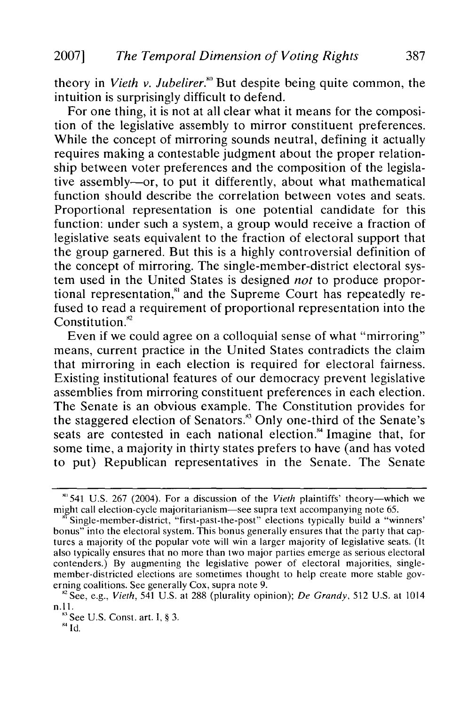theory in *Vieth v. Jubelirer."'* But despite being quite common, the intuition is surprisingly difficult to defend.

For one thing, it is not at all clear what it means for the composition of the legislative assembly to mirror constituent preferences. While the concept of mirroring sounds neutral, defining it actually requires making a contestable judgment about the proper relationship between voter preferences and the composition of the legislative assembly-or, to put it differently, about what mathematical function should describe the correlation between votes and seats. Proportional representation is one potential candidate for this function: under such a system, a group would receive a fraction of legislative seats equivalent to the fraction of electoral support that the group garnered. But this is a highly controversial definition of the concept of mirroring. The single-member-district electoral system used in the United States is designed *not* to produce proportional representation," and the Supreme Court has repeatedly refused to read a requirement of proportional representation into the Constitution.<sup>82</sup>

Even if we could agree on a colloquial sense of what "mirroring" means, current practice in the United States contradicts the claim that mirroring in each election is required for electoral fairness. Existing institutional features of our democracy prevent legislative assemblies from mirroring constituent preferences in each election. The Senate is an obvious example. The Constitution provides for the staggered election of Senators.<sup>83</sup> Only one-third of the Senate's seats are contested in each national election." Imagine that, for some time, a majority in thirty states prefers to have (and has voted to put) Republican representatives in the Senate. The Senate

 $80$  541 U.S. 267 (2004). For a discussion of the Vieth plaintiffs' theory—which we might call election-cycle majoritarianism-see supra text accompanying note 65.

Single-member-district, "first-past-the-post" elections typically build a "winners' bonus" into the electoral system. This bonus generally ensures that the party that captures a majority of the popular vote will win a larger majority of legislative seats. (It also typically ensures that no more than two major parties emerge as serious electoral contenders.) By augmenting the legislative power of electoral majorities, singlemember-districted elections are sometimes thought to help create more stable governing coalitions. See generally Cox, supra note 9.

<sup>&</sup>quot; 2See, e.g., *Vieth,* 541 U.S. at 288 (plurality opinion); *De* Grandy, 512 U.S. at 1014 n.1l.

 $83$  See U.S. Const. art. I, § 3.

**I** ld.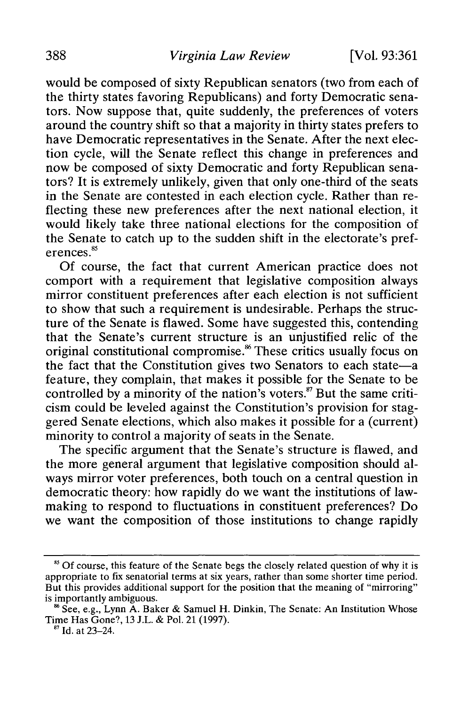would be composed of sixty Republican senators (two from each of the thirty states favoring Republicans) and forty Democratic senators. Now suppose that, quite suddenly, the preferences of voters around the country shift so that a majority in thirty states prefers to have Democratic representatives in the Senate. After the next election cycle, will the Senate reflect this change in preferences and now be composed of sixty Democratic and forty Republican senators? It is extremely unlikely, given that only one-third of the seats in the Senate are contested in each election cycle. Rather than reflecting these new preferences after the next national election, it would likely take three national elections for the composition of the Senate to catch up to the sudden shift in the electorate's preferences.<sup>85</sup>

Of course, the fact that current American practice does not comport with a requirement that legislative composition always mirror constituent preferences after each election is not sufficient to show that such a requirement is undesirable. Perhaps the structure of the Senate is flawed. Some have suggested this, contending that the Senate's current structure is an unjustified relic of the original constitutional compromise.<sup>86</sup> These critics usually focus on the fact that the Constitution gives two Senators to each state-a feature, they complain, that makes it possible for the Senate to be controlled by a minority of the nation's voters.<sup>87</sup> But the same criticism could be leveled against the Constitution's provision for staggered Senate elections, which also makes it possible for a (current) minority to control a majority of seats in the Senate.

The specific argument that the Senate's structure is flawed, and the more general argument that legislative composition should always mirror voter preferences, both touch on a central question in democratic theory: how rapidly do we want the institutions of lawmaking to respond to fluctuations in constituent preferences? Do we want the composition of those institutions to change rapidly

<sup>&</sup>lt;sup>85</sup> Of course, this feature of the Senate begs the closely related question of why it is appropriate to fix senatorial terms at six years, rather than some shorter time period. But this provides additional support for the position that the meaning of "mirroring" is importantly ambiguous.

 $8$  See, e.g., Lynn A. Baker & Samuel H. Dinkin, The Senate: An Institution Whose Time Has Gone?, 13 J.L. & Pol. 21 (1997). **17** Id. at 23-24.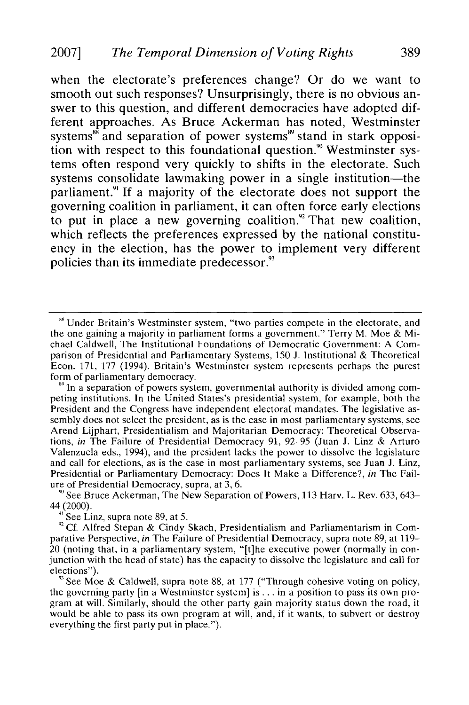when the electorate's preferences change? Or do we want to smooth out such responses? Unsurprisingly, there is no obvious answer to this question, and different democracies have adopted different approaches. As Bruce Ackerman has noted, Westminster systems<sup>\*\*</sup> and separation of power systems<sup>\*\*</sup> stand in stark opposition with respect to this foundational question.<sup>90</sup> Westminster systems often respond very quickly to shifts in the electorate. Such systems consolidate lawmaking power in a single institution—the parliament.<sup>91</sup> If a majority of the electorate does not support the governing coalition in parliament, it can often force early elections to put in place a new governing coalition.<sup>92</sup> That new coalition, which reflects the preferences expressed by the national constituency in the election, has the power to implement very different policies than its immediate predecessor.<sup>93</sup>

**"** See Bruce Ackerman, The New Separation of Powers, 113 Harv. L. Rev. 633, 643-  $44(2000)$ .

**9** See Linz, supra note 89, at 5.

<sup>92</sup> Cf. Alfred Stepan & Cindy Skach, Presidentialism and Parliamentarism in Comparative Perspective, *in* The Failure of Presidential Democracy, supra note 89, at 119- 20 (noting that, in a parliamentary system, "[t]he executive power (normally in conjunction with the head of state) has the capacity to dissolve the legislature and call for elections").

<sup>93</sup> See Moe & Caldwell, supra note 88, at 177 ("Through cohesive voting on policy the governing party [in a Westminster system] is **...** in a position to pass its own program at will. Similarly, should the other party gain majority status down the road, it would be able to pass its own program at will, and, if it wants, to subvert or destroy everything the first party put in place.").

**<sup>&</sup>quot;'** Under Britain's Westminster system, "two parties compete in the electorate, and the one gaining a majority in parliament forms a government." Terry M. Moe & Michael Caldwell, The Institutional Foundations of Democratic Government: A Comparison of Presidential and Parliamentary Systems, 150 **J.** Institutional & Theoretical Econ. 171, 177 (1994). Britain's Westminster system represents perhaps the purest form of parliamentary democracy.

**<sup>&</sup>quot;** In a separation of powers system, governmental authority is divided among competing institutions. In the United States's presidential system, for example, both the President and the Congress have independent electoral mandates. The legislative assembly does not select the president, as is the case in most parliamentary systems, see Arend Lijphart, Presidentialism and Majoritarian Democracy: Theoretical Observations, *in* The Failure of Presidential Democracy 91, 92-95 (Juan J. Linz & Arturo Valenzuela eds., 1994), and the president lacks the power to dissolve the legislature and call for elections, as is the case in most parliamentary systems, see Juan J. Linz, Presidential or Parliamentary Democracy: Does It Make a Difference?, *in* The Failure of Presidential Democracy, supra, at 3, 6.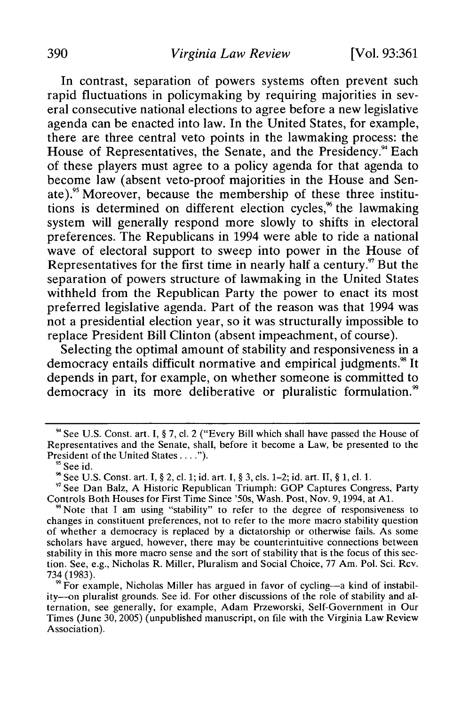In contrast, separation of powers systems often prevent such rapid fluctuations in policymaking **by** requiring majorities in several consecutive national elections to agree before a new legislative agenda can be enacted into law. In the United States, for example, there are three central veto points in the lawmaking process: the House of Representatives, the Senate, and the Presidency.<sup>94</sup> Each of these players must agree to a policy agenda for that agenda to become law (absent veto-proof majorities in the House and Sen**ate).95** Moreover, because the membership of these three institutions is determined on different election cycles,<sup> $%$ </sup> the lawmaking system will generally respond more slowly to shifts in electoral preferences. The Republicans in 1994 were able to ride a national wave of electoral support to sweep into power in the House of Representatives for the first time in nearly half a century.<sup>97</sup> But the separation of powers structure of lawmaking in the United States withheld from the Republican Party the power to enact its most preferred legislative agenda. Part of the reason was that 1994 was not a presidential election year, so it was structurally impossible to replace President Bill Clinton (absent impeachment, of course).

Selecting the optimal amount of stability and responsiveness in a democracy entails difficult normative and empirical judgments.<sup>88</sup> It depends in part, for example, on whether someone is committed to democracy in its more deliberative or pluralistic formulation.<sup>99</sup>

**<sup>9&#</sup>x27;** See **U.S.** Const. art. **I, § 7, cl.** 2 ("Every Bill which shall have passed the House of Representatives and the Senate, shall, before it become a Law, be presented to the President of the United States **. .**

**<sup>&#</sup>x27;** See id.

**<sup>9</sup>** See **U.S.** Const. art. **I, §** 2, **cl. 1;** id. art. I, **§ 3,** cls. 1-2; id. art. **II, § 1, cl. 1.**

**<sup>&</sup>quot;'** See Dan Balz, **A** Historic Republican Triumph: **GOP** Captures Congress, Party Controls Both Houses for First Time Since '50s, Wash. Post, Nov. 9, 1994, at **Al.**

**<sup>9&#</sup>x27;** Note that **I** am using "stability" to refer to the degree of responsiveness to changes in constituent preferences, not to refer to the more macro stability question of **whether** a democracy is replaced **by** a dictatorship or otherwise fails. As some scholars have argued, however, there may be counterintuitive connections between stability in this more macro sense and the sort of stability that is the focus of this section. See, e.g., Nicholas R. Miller, Pluralism and Social Choice, **77** Am. Pol. Sci. Rev. **734 (1983).**

<sup>&</sup>lt;sup>9</sup> For example, Nicholas Miller has argued in favor of cycling—a kind of instability--on pluralist grounds. See id. For other discussions of the role of stability and alternation, see generally, for example, Adam Przeworski, Self-Government in Our Times (June **30, 2005)** (unpublished manuscript, on file with the Virginia Law Review Association).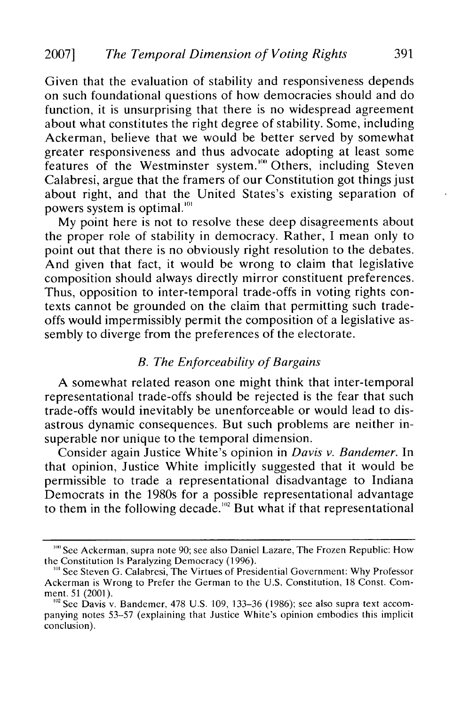Given that the evaluation of stability and responsiveness depends on such foundational questions of how democracies should and do function, it is unsurprising that there is no widespread agreement about what constitutes the right degree of stability. Some, including Ackerman, believe that we would be better served by somewhat greater responsiveness and thus advocate adopting at least some features of the Westminster system.<sup>100</sup> Others, including Steven Calabresi, argue that the framers of our Constitution got things just about right, and that the United States's existing separation of powers system is optimal. '

My point here is not to resolve these deep disagreements about the proper role of stability in democracy. Rather, I mean only to point out that there is no obviously right resolution to the debates. And given that fact, it would be wrong to claim that legislative composition should always directly mirror constituent preferences. Thus, opposition to inter-temporal trade-offs in voting rights contexts cannot be grounded on the claim that permitting such tradeoffs would impermissibly permit the composition of a legislative assembly to diverge from the preferences of the electorate.

## *B. The Enforceability of Bargains*

A somewhat related reason one might think that inter-temporal representational trade-offs should be rejected is the fear that such trade-offs would inevitably be unenforceable or would lead to disastrous dynamic consequences. But such problems are neither insuperable nor unique to the temporal dimension.

Consider again Justice White's opinion in *Davis v. Bandemer.* In that opinion, Justice White implicitly suggested that it would be permissible to trade a representational disadvantage to Indiana Democrats in the 1980s for a possible representational advantage to them in the following decade.<sup>102</sup> But what if that representational

<sup>&</sup>lt;sup>100</sup> See Ackerman, supra note 90; see also Daniel Lazare, The Frozen Republic: How the Constitution Is Paralyzing Democracy (1996).

<sup>&</sup>lt;sup>101</sup> See Steven G. Calabresi, The Virtues of Presidential Government: Why Professor Ackerman is Wrong to Prefer the German to the U.S. Constitution, 18 Const. Comment. 51 (2001).

<sup>&</sup>lt;sup>102</sup> See Davis v. Bandemer, 478 U.S. 109, 133–36 (1986); see also supra text accom panying notes 53-57 (explaining that Justice White's opinion embodies this implicit conclusion).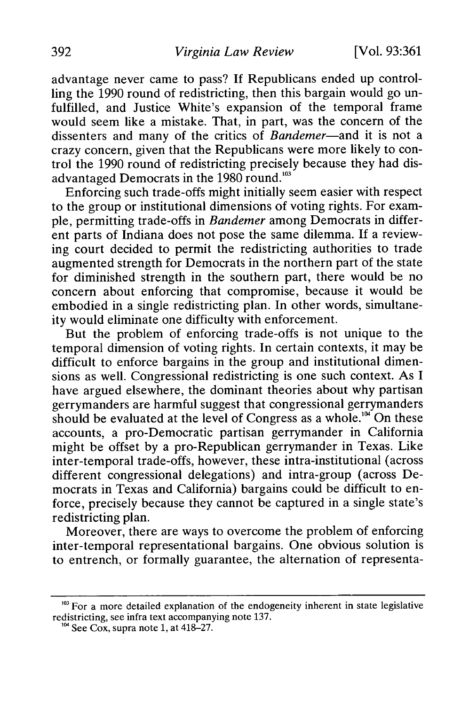advantage never came to pass? If Republicans ended up controlling the 1990 round of redistricting, then this bargain would go unfulfilled, and Justice White's expansion of the temporal frame would seem like a mistake. That, in part, was the concern of the dissenters and many of the critics of *Bandemer-and* it is not a crazy concern, given that the Republicans were more likely to control the 1990 round of redistricting precisely because they had disadvantaged Democrats in the 1980 round.<sup>103</sup>

Enforcing such trade-offs might initially seem easier with respect to the group or institutional dimensions of voting rights. For example, permitting trade-offs in *Bandemer* among Democrats in different parts of Indiana does not pose the same dilemma. If a reviewing court decided to permit the redistricting authorities to trade augmented strength for Democrats in the northern part of the state for diminished strength in the southern part, there would be no concern about enforcing that compromise, because it would be embodied in a single redistricting plan. In other words, simultaneity would eliminate one difficulty with enforcement.

But the problem of enforcing trade-offs is not unique to the temporal dimension of voting rights. In certain contexts, it may be difficult to enforce bargains in the group and institutional dimensions as well. Congressional redistricting is one such context. As I have argued elsewhere, the dominant theories about why partisan gerrymanders are harmful suggest that congressional gerrymanders should be evaluated at the level of Congress as a whole.<sup>104</sup> On these accounts, a pro-Democratic partisan gerrymander in California might be offset by a pro-Republican gerrymander in Texas. Like inter-temporal trade-offs, however, these intra-institutional (across different congressional delegations) and intra-group (across Democrats in Texas and California) bargains could be difficult to enforce, precisely because they cannot be captured in a single state's redistricting plan.

Moreover, there are ways to overcome the problem of enforcing inter-temporal representational bargains. One obvious solution is to entrench, or formally guarantee, the alternation of representa-

<sup>&</sup>lt;sup>103</sup> For a more detailed explanation of the endogeneity inherent in state legislative redistricting, see infra text accompanying note 137.

 $^{\text{104}}$  See Cox, supra note 1, at 418-27.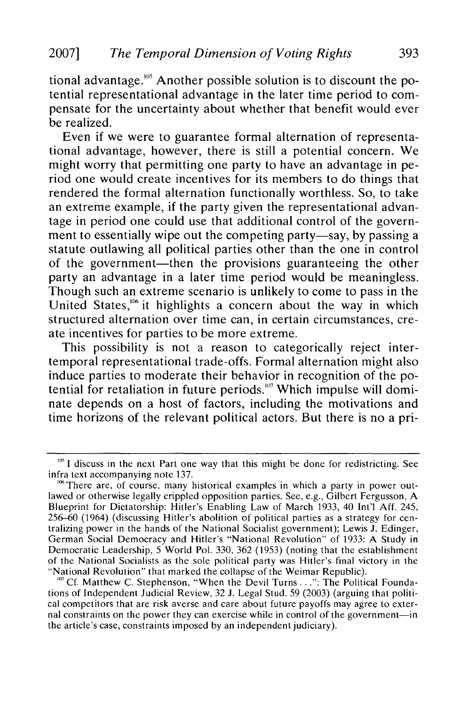tional advantage."" Another possible solution is to discount the potential representational advantage in the later time period to compensate for the uncertainty about whether that benefit would ever be realized.

Even if we were to guarantee formal alternation of representational advantage, however, there is still a potential concern. We might worry that permitting one party to have an advantage in period one would create incentives for its members to do things that rendered the formal alternation functionally worthless. So, to take an extreme example, if the party given the representational advantage in period one could use that additional control of the government to essentially wipe out the competing party-say, by passing a statute outlawing all political parties other than the one in control of the government—then the provisions guaranteeing the other party an advantage in a later time period would be meaningless. Though such an extreme scenario is unlikely to come to pass in the United States,<sup>106</sup> it highlights a concern about the way in which structured alternation over time can, in certain circumstances, create incentives for parties to be more extreme.

This possibility is not a reason to categorically reject intertemporal representational trade-offs. Formal alternation might also induce parties to moderate their behavior in recognition of the potential for retaliation in future periods.<sup>107</sup> Which impulse will dominate depends on a host of factors, including the motivations and time horizons of the relevant political actors. But there is no a pri-

<sup>&</sup>lt;sup>105</sup> I discuss in the next Part one way that this might be done for redistricting. See infra text accompanying note 137.

 $<sup>106</sup>$  There are, of course, many historical examples in which a party in power out-</sup> lawed or otherwise legally crippled opposition parties. See, e.g., Gilbert Fergusson, A Blueprint for Dictatorship: Hitler's Enabling Law of March 1933, 40 Int'l Aff. 245, 256-60 (1964) (discussing Hitler's abolition of political parties as a strategy for centralizing power in the hands of the National Socialist government); Lewis **J.** Edinger, German Social Democracy and Hitler's "National Revolution" of 1933: A Study in Democratic Leadership, 5 World Pol. 330, 362 (1953) (noting that the establishment of the National Socialists as the sole political party was Hitler's final victory in the "National Revolution" that marked the collapse of the Weimar Republic).

<sup>&</sup>lt;sup>107</sup> Cf. Matthew C. Stephenson, "When the Devil Turns...": The Political Foundations of Independent Judicial Review, 32 J. Legal Stud. 59 (2003) (arguing that political competitors that are risk averse and care about future payoffs may agree to external constraints on the power they can exercise while in control of the government-in the article's case, constraints imposed by an independent judiciary).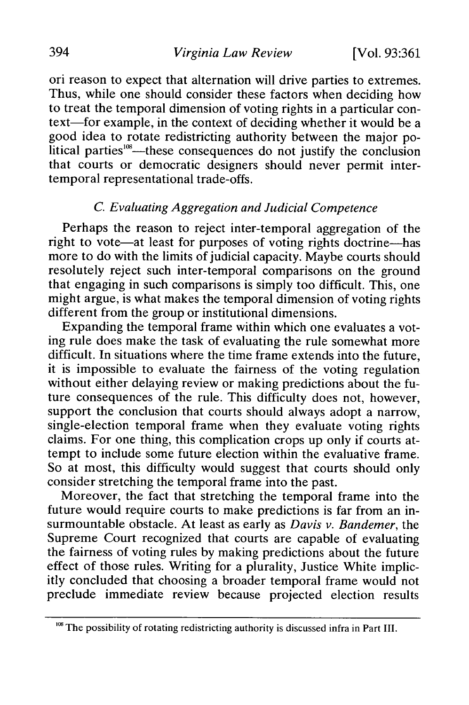ori reason to expect that alternation will drive parties to extremes. Thus, while one should consider these factors when deciding how to treat the temporal dimension of voting rights in a particular context-for example, in the context of deciding whether it would be a good idea to rotate redistricting authority between the major political parties<sup>108</sup>—these consequences do not justify the conclusion that courts or democratic designers should never permit intertemporal representational trade-offs.

# *C. Evaluating Aggregation and Judicial Competence*

Perhaps the reason to reject inter-temporal aggregation of the right to vote—at least for purposes of voting rights doctrine—has more to do with the limits of judicial capacity. Maybe courts should resolutely reject such inter-temporal comparisons on the ground that engaging in such comparisons is simply too difficult. This, one might argue, is what makes the temporal dimension of voting rights different from the group or institutional dimensions.

Expanding the temporal frame within which one evaluates a voting rule does make the task of evaluating the rule somewhat more difficult. In situations where the time frame extends into the future, it is impossible to evaluate the fairness of the voting regulation without either delaying review or making predictions about the future consequences of the rule. This difficulty does not, however, support the conclusion that courts should always adopt a narrow, single-election temporal frame when they evaluate voting rights claims. For one thing, this complication crops up only if courts attempt to include some future election within the evaluative frame. So at most, this difficulty would suggest that courts should only consider stretching the temporal frame into the past.

Moreover, the fact that stretching the temporal frame into the future would require courts to make predictions is far from an insurmountable obstacle. At least as early as *Davis v. Bandemer,* the Supreme Court recognized that courts are capable of evaluating the fairness of voting rules by making predictions about the future effect of those rules. Writing for a plurality, Justice White implicitly concluded that choosing a broader temporal frame would not preclude immediate review because projected election results

<sup>&</sup>lt;sup>108</sup> The possibility of rotating redistricting authority is discussed infra in Part III.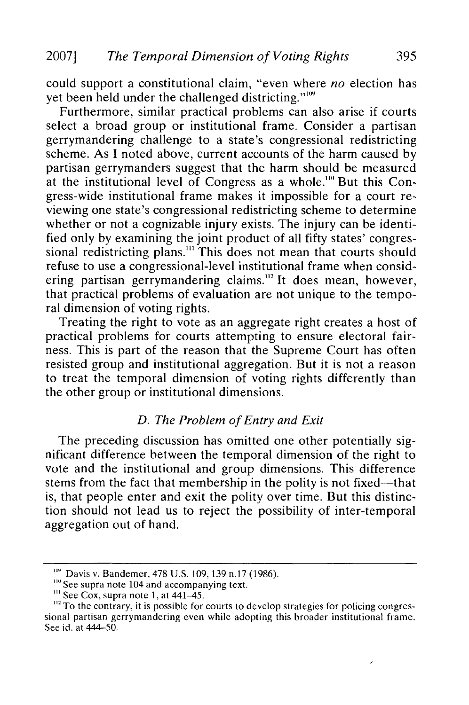could support a constitutional claim, "even where *no* election has yet been held under the challenged districting."<sup>109</sup>

Furthermore, similar practical problems can also arise if courts select a broad group or institutional frame. Consider a partisan gerrymandering challenge to a state's congressional redistricting scheme. As I noted above, current accounts of the harm caused by partisan gerrymanders suggest that the harm should be measured at the institutional level of Congress as a whole."" But this Congress-wide institutional frame makes it impossible for a court reviewing one state's congressional redistricting scheme to determine whether or not a cognizable injury exists. The injury can be identified only by examining the joint product of all fifty states' congressional redistricting plans.<sup>111</sup> This does not mean that courts should refuse to use a congressional-level institutional frame when considering partisan gerrymandering claims.<sup>112</sup> It does mean, however, that practical problems of evaluation are not unique to the temporal dimension of voting rights.

Treating the right to vote as an aggregate right creates a host of practical problems for courts attempting to ensure electoral fairness. This is part of the reason that the Supreme Court has often resisted group and institutional aggregation. But it is not a reason to treat the temporal dimension of voting rights differently than the other group or institutional dimensions.

## *D. The Problem of Entry and Exit*

The preceding discussion has omitted one other potentially significant difference between the temporal dimension of the right to vote and the institutional and group dimensions. This difference stems from the fact that membership in the polity is not fixed—that is, that people enter and exit the polity over time. But this distinction should not lead us to reject the possibility of inter-temporal aggregation out of hand.

**<sup>&</sup>quot;'** Davis v. Bandemer, 478 U.S. 109, 139 n.17 (1986).

<sup>&</sup>lt;sup>110</sup> See supra note 104 and accompanying text.

<sup>&</sup>lt;sup>111</sup> See Cox, supra note 1, at 441–45.

 $\frac{12}{2}$  To the contrary, it is possible for courts to develop strategies for policing congressional partisan gerrymandering even while adopting this broader institutional frame. See id. at 444-50.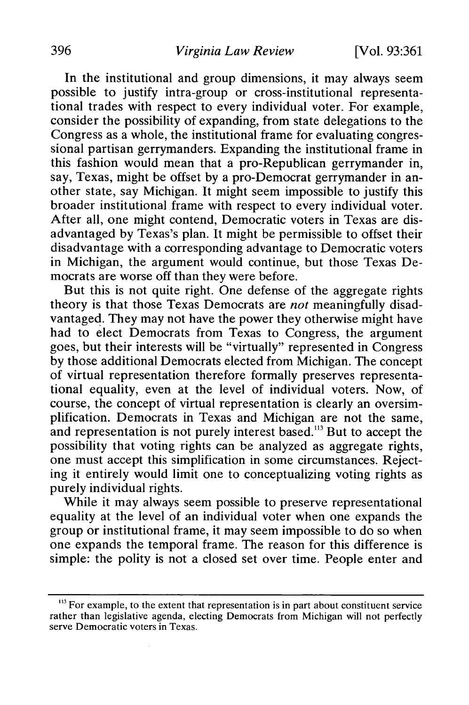In the institutional and group dimensions, it may always seem possible to justify intra-group or cross-institutional representational trades with respect to every individual voter. For example, consider the possibility of expanding, from state delegations to the Congress as a whole, the institutional frame for evaluating congressional partisan gerrymanders. Expanding the institutional frame in this fashion would mean that a pro-Republican gerrymander in, say, Texas, might be offset by a pro-Democrat gerrymander in another state, say Michigan. It might seem impossible to justify this broader institutional frame with respect to every individual voter. After all, one might contend, Democratic voters in Texas are disadvantaged by Texas's plan. It might be permissible to offset their disadvantage with a corresponding advantage to Democratic voters in Michigan, the argument would continue, but those Texas Democrats are worse off than they were before.

But this is not quite right. One defense of the aggregate rights theory is that those Texas Democrats are *not* meaningfully disadvantaged. They may not have the power they otherwise might have had to elect Democrats from Texas to Congress, the argument goes, but their interests will be "virtually" represented in Congress by those additional Democrats elected from Michigan. The concept of virtual representation therefore formally preserves representational equality, even at the level of individual voters. Now, of course, the concept of virtual representation is clearly an oversimplification. Democrats in Texas and Michigan are not the same, and representation is not purely interest based.<sup>113</sup> But to accept the possibility that voting rights can be analyzed as aggregate rights, one must accept this simplification in some circumstances. Rejecting it entirely would limit one to conceptualizing voting rights as purely individual rights.

While it may always seem possible to preserve representational equality at the level of an individual voter when one expands the group or institutional frame, it may seem impossible to do so when one expands the temporal frame. The reason for this difference is simple: the polity is not a closed set over time. People enter and

**<sup>,&</sup>quot;3** For example, to the extent that representation is in part about constituent service rather than legislative agenda, electing Democrats from Michigan will not perfectly serve Democratic voters in Texas.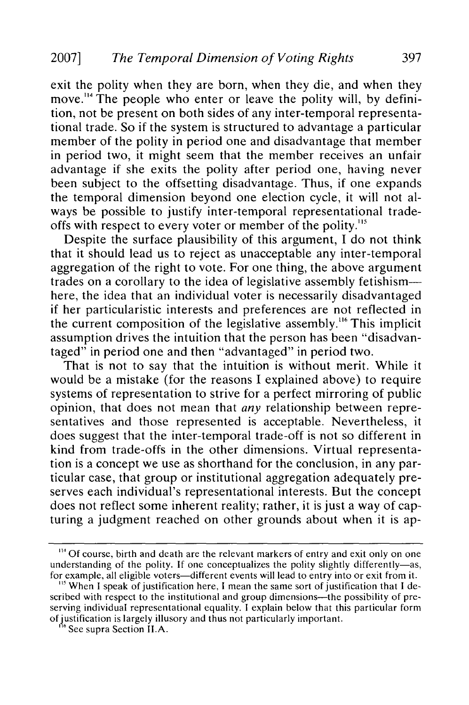exit the polity when they are born, when they die, and when they move.<sup>114</sup> The people who enter or leave the polity will, by definition, not be present on both sides of any inter-temporal representational trade. So if the system is structured to advantage a particular member of the polity in period one and disadvantage that member in period two, it might seem that the member receives an unfair advantage if she exits the polity after period one, having never been subject to the offsetting disadvantage. Thus, if one expands the temporal dimension beyond one election cycle, it will not always be possible to justify inter-temporal representational tradeoffs with respect to every voter or member of the polity."5

Despite the surface plausibility of this argument, I do not think that it should lead us to reject as unacceptable any inter-temporal aggregation of the right to vote. For one thing, the above argument trades on a corollary to the idea of legislative assembly fetishismhere, the idea that an individual voter is necessarily disadvantaged if her particularistic interests and preferences are not reflected in the current composition of the legislative assembly.<sup>116</sup> This implicit assumption drives the intuition that the person has been "disadvantaged" in period one and then "advantaged" in period two.

That is not to say that the intuition is without merit. While it would be a mistake (for the reasons I explained above) to require systems of representation to strive for a perfect mirroring of public opinion, that does not mean that *any* relationship between representatives and those represented is acceptable. Nevertheless, it does suggest that the inter-temporal trade-off is not so different in kind from trade-offs in the other dimensions. Virtual representation is a concept we use as shorthand for the conclusion, in any particular case, that group or institutional aggregation adequately preserves each individual's representational interests. But the concept does not reflect some inherent reality; rather, it is just a way of capturing a judgment reached on other grounds about when it is ap-

<sup>&</sup>lt;sup>114</sup> Of course, birth and death are the relevant markers of entry and exit only on one understanding of the polity. If one conceptualizes the polity slightly differently-as, for example, all eligible voters-different events will lead to entry into or exit from it.

<sup>&</sup>lt;sup>115</sup> When I speak of justification here, I mean the same sort of justification that I described with respect to the institutional and group dimensions-the possibility of preserving individual representational equality. I explain below that this particular form of justification is largely illusory and thus not particularly important. **,"** See supra Section **I1.A.**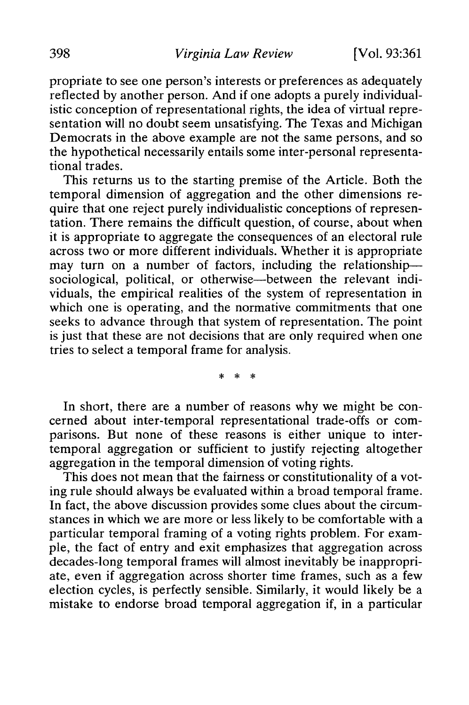propriate to see one person's interests or preferences as adequately reflected by another person. And if one adopts a purely individualistic conception of representational rights, the idea of virtual representation will no doubt seem unsatisfying. The Texas and Michigan Democrats in the above example are not the same persons, and so the hypothetical necessarily entails some inter-personal representational trades.

This returns us to the starting premise of the Article. Both the temporal dimension of aggregation and the other dimensions require that one reject purely individualistic conceptions of representation. There remains the difficult question, of course, about when it is appropriate to aggregate the consequences of an electoral rule across two or more different individuals. Whether it is appropriate may turn on a number of factors, including the relationshipsociological, political, or otherwise—between the relevant individuals, the empirical realities of the system of representation in which one is operating, and the normative commitments that one seeks to advance through that system of representation. The point is just that these are not decisions that are only required when one tries to select a temporal frame for analysis.

 $\ast$ 

In short, there are a number of reasons why we might be concerned about inter-temporal representational trade-offs or comparisons. But none of these reasons is either unique to intertemporal aggregation or sufficient to justify rejecting altogether aggregation in the temporal dimension of voting rights.

This does not mean that the fairness or constitutionality of a voting rule should always be evaluated within a broad temporal frame. In fact, the above discussion provides some clues about the circumstances in which we are more or less likely to be comfortable with a particular temporal framing of a voting rights problem. For example, the fact of entry and exit emphasizes that aggregation across decades-long temporal frames will almost inevitably be inappropriate, even if aggregation across shorter time frames, such as a few election cycles, is perfectly sensible. Similarly, it would likely be a mistake to endorse broad temporal aggregation if, in a particular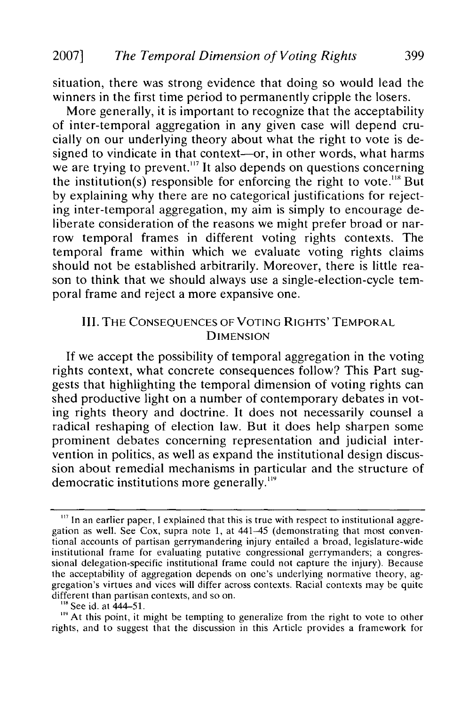situation, there was strong evidence that doing so would lead the winners in the first time period to permanently cripple the losers.

More generally, it is important to recognize that the acceptability of inter-temporal aggregation in any given case will depend crucially on our underlying theory about what the right to vote is designed to vindicate in that context-or, in other words, what harms we are trying to prevent."<sup>17</sup> It also depends on questions concerning the institution(s) responsible for enforcing the right to vote."8 But by explaining why there are no categorical justifications for rejecting inter-temporal aggregation, my aim is simply to encourage deliberate consideration of the reasons we might prefer broad or narrow temporal frames in different voting rights contexts. The temporal frame within which we evaluate voting rights claims should not be established arbitrarily. Moreover, there is little reason to think that we should always use a single-election-cycle temporal frame and reject a more expansive one.

## III. THE **CONSEQUENCES** OF VOTING RIGHTS' TEMPORAL **DIMENSION**

If we accept the possibility of temporal aggregation in the voting rights context, what concrete consequences follow? This Part suggests that highlighting the temporal dimension of voting rights can shed productive light on a number of contemporary debates in voting rights theory and doctrine. It does not necessarily counsel a radical reshaping of election law. But it does help sharpen some prominent debates concerning representation and judicial intervention in politics, as well as expand the institutional design discussion about remedial mechanisms in particular and the structure of democratic institutions more generally."'

<sup>&</sup>lt;sup>117</sup> In an earlier paper, I explained that this is true with respect to institutional aggregation as well. See Cox, supra note **1,** at 441-45 (demonstrating that most conventional accounts of partisan gerrymandering injury entailed a broad, legislature-wide institutional frame for evaluating putative congressional gerrymanders; a congressional delegation-specific institutional frame could not capture the injury). Because the acceptability of aggregation depends on one's underlying normative theory, aggregation's virtues and vices will differ across contexts. Racial contexts may be quite different than partisan contexts, and so on.<br><sup>118</sup> See id. at 444–51.

<sup>&</sup>lt;sup>119</sup> At this point, it might be tempting to generalize from the right to vote to other rights, and to suggest that the discussion in this Article provides a framework for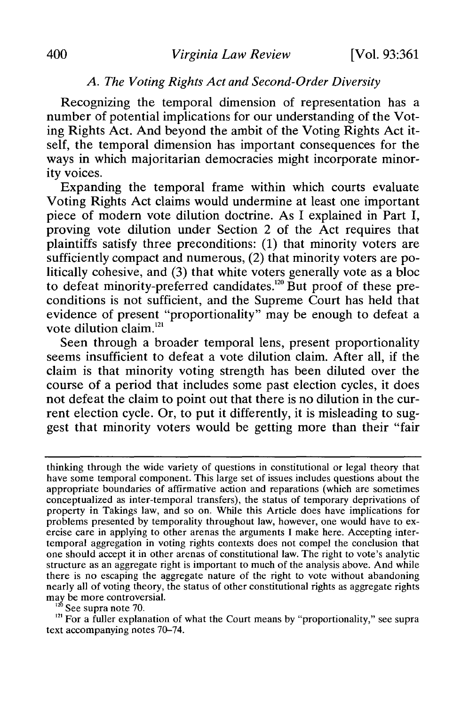### *A. The Voting Rights Act and Second-Order Diversity*

Recognizing the temporal dimension of representation has a number of potential implications for our understanding of the Voting Rights Act. And beyond the ambit of the Voting Rights Act itself, the temporal dimension has important consequences for the ways in which majoritarian democracies might incorporate minority voices.

Expanding the temporal frame within which courts evaluate Voting Rights Act claims would undermine at least one important piece of modern vote dilution doctrine. As I explained in Part I, proving vote dilution under Section 2 of the Act requires that plaintiffs satisfy three preconditions: (1) that minority voters are sufficiently compact and numerous, (2) that minority voters are politically cohesive, and (3) that white voters generally vote as a bloc to defeat minority-preferred candidates.<sup>120</sup> But proof of these preconditions is not sufficient, and the Supreme Court has held that evidence of present "proportionality" may be enough to defeat a vote dilution claim.<sup>121</sup>

Seen through a broader temporal lens, present proportionality seems insufficient to defeat a vote dilution claim. After all, if the claim is that minority voting strength has been diluted over the course of a period that includes some past election cycles, it does not defeat the claim to point out that there is no dilution in the current election cycle. Or, to put it differently, it is misleading to suggest that minority voters would be getting more than their "fair

<sup>121</sup> For a fuller explanation of what the Court means by "proportionality," see supra text accompanying notes 70-74.

thinking through the wide variety of questions in constitutional or legal theory that have some temporal component. This large set of issues includes questions about the appropriate boundaries of affirmative action and reparations (which are sometimes conceptualized as inter-temporal transfers), the status of temporary deprivations of property in Takings law, and so on. While this Article does have implications for problems presented by temporality throughout law, however, one would have to exercise care in applying to other arenas the arguments I make here. Accepting intertemporal aggregation in voting rights contexts does not compel the conclusion that one should accept it in other arenas of constitutional law. The right to vote's analytic structure as an aggregate right is important to much of the analysis above. And while there is no escaping the aggregate nature of the right to vote without abandoning nearly all of voting theory, the status of other constitutional rights as aggregate rights may be more controversial.<br><sup>120</sup> See supra note 70.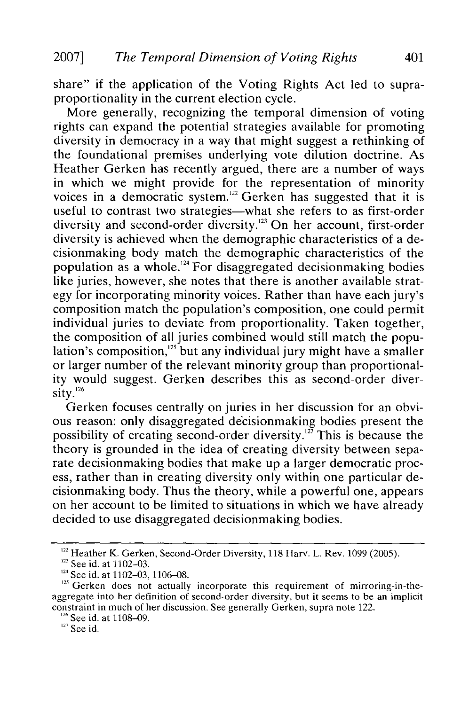share" if the application of the Voting Rights Act led to supraproportionality in the current election cycle.

More generally, recognizing the temporal dimension of voting rights can expand the potential strategies available for promoting diversity in democracy in a way that might suggest a rethinking of the foundational premises underlying vote dilution doctrine. As Heather Gerken has recently argued, there are a number of ways in which we might provide for the representation of minority voices in a democratic system.<sup>122</sup> Gerken has suggested that it is useful to contrast two strategies—what she refers to as first-order diversity and second-order diversity.'23 On her account, first-order diversity is achieved when the demographic characteristics of a decisionmaking body match the demographic characteristics of the population as a whole.<sup>124</sup> For disaggregated decisionmaking bodies like juries, however, she notes that there is another available strategy for incorporating minority voices. Rather than have each jury's composition match the population's composition, one could permit individual juries to deviate from proportionality. Taken together, the composition of all juries combined would still match the population's composition, $125$  but any individual jury might have a smaller or larger number of the relevant minority group than proportionality would suggest. Gerken describes this as second-order diverny we<br>sity.<sup>126</sup>

Gerken focuses centrally on juries in her discussion for an obvious reason: only disaggregated decisionmaking bodies present the possibility of creating second-order diversity.<sup>127</sup> This is because the theory is grounded in the idea of creating diversity between separate decisionmaking bodies that make up a larger democratic process, rather than in creating diversity only within one particular decisionmaking body. Thus the theory, while a powerful one, appears on her account to be limited to situations in which we have already decided to use disaggregated decisionmaking bodies.

<sup>&</sup>lt;sup>122</sup> Heather K. Gerken, Second-Order Diversity, 118 Harv. L. Rev. 1099 (2005).

<sup>&</sup>lt;sup>123</sup> See id. at 1102-03.

<sup>&</sup>lt;sup>124</sup> See id. at 1102-03, 1106-08.

<sup>&</sup>lt;sup>125</sup> Gerken does not actually incorporate this requirement of mirroring-in-theaggregate into her definition of second-order diversity, but it seems to be an implicit constraint in much of her discussion. See generally Gerken, supra note 122. <sup>126</sup> See id. at 1108–09.

<sup>&</sup>lt;sup>127</sup> See id.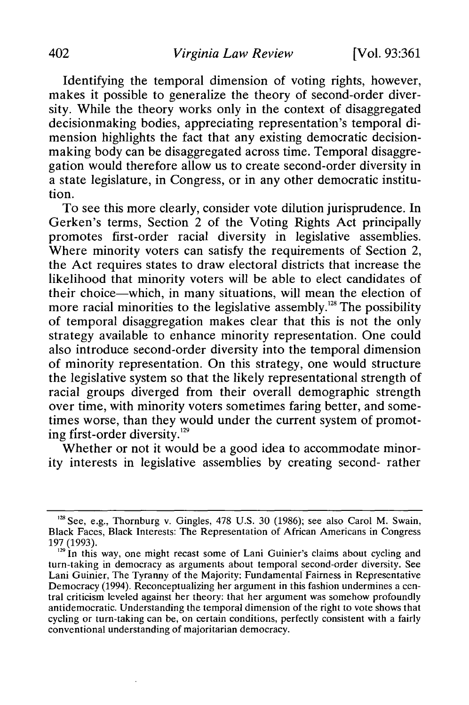Identifying the temporal dimension of voting rights, however, makes it possible to generalize the theory of second-order diversity. While the theory works only in the context of disaggregated decisionmaking bodies, appreciating representation's temporal dimension highlights the fact that any existing democratic decisionmaking body can be disaggregated across time. Temporal disaggregation would therefore allow us to create second-order diversity in a state legislature, in Congress, or in any other democratic institution.

To see this more clearly, consider vote dilution jurisprudence. In Gerken's terms, Section 2 of the Voting Rights Act principally promotes first-order racial diversity in legislative assemblies. Where minority voters can satisfy the requirements of Section 2, the Act requires states to draw electoral districts that increase the likelihood that minority voters will be able to elect candidates of their choice-which, in many situations, will mean the election of more racial minorities to the legislative assembly.<sup>128</sup> The possibility of temporal disaggregation makes clear that this is not the only strategy available to enhance minority representation. One could also introduce second-order diversity into the temporal dimension of minority representation. On this strategy, one would structure the legislative system so that the likely representational strength of racial groups diverged from their overall demographic strength over time, with minority voters sometimes faring better, and sometimes worse, than they would under the current system of promoting first-order diversity.<sup>129</sup>

Whether or not it would be a good idea to accommodate minority interests in legislative assemblies by creating second- rather

<sup>&</sup>lt;sup>128</sup> See, e.g., Thornburg v. Gingles, 478 U.S. 30 (1986); see also Carol M. Swain, Black Faces, Black Interests: The Representation of African Americans in Congress 197 (1993).

**<sup>1</sup> <sup>29</sup>**in this way, one might recast some of Lani Guinier's claims about cycling and turn-taking in democracy as arguments about temporal second-order diversity. See Lani Guinier, The Tyranny of the Majority: Fundamental Fairness in Representative Democracy (1994). Reconceptualizing her argument in this fashion undermines a central criticism leveled against her theory: that her argument was somehow profoundly antidemocratic. Understanding the temporal dimension of the right to vote shows that cycling or turn-taking can be, on certain conditions, perfectly consistent with a fairly conventional understanding of majoritarian democracy.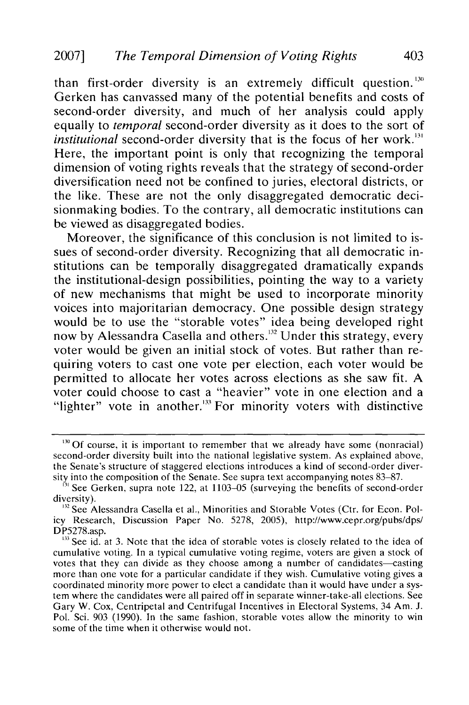than first-order diversity is an extremely difficult question.<sup>130</sup> Gerken has canvassed many of the potential benefits and costs of second-order diversity, and much of her analysis could apply equally to *temporal* second-order diversity as it does to the sort of *institutional* second-order diversity that is the focus of her work.<sup>131</sup> Here, the important point is only that recognizing the temporal dimension of voting rights reveals that the strategy of second-order diversification need not be confined to juries, electoral districts, or the like. These are not the only disaggregated democratic decisionmaking bodies. To the contrary, all democratic institutions can be viewed as disaggregated bodies.

Moreover, the significance of this conclusion is not limited to issues of second-order diversity. Recognizing that all democratic institutions can be temporally disaggregated dramatically expands the institutional-design possibilities, pointing the way to a variety of new mechanisms that might be used to incorporate minority voices into majoritarian democracy. One possible design strategy would be to use the "storable votes" idea being developed right now by Alessandra Casella and others.<sup>32</sup> Under this strategy, every voter would be given an initial stock of votes. But rather than requiring voters to cast one vote per election, each voter would be permitted to allocate her votes across elections as she saw fit. A voter could choose to cast a "heavier" vote in one election and a "lighter" vote in another. $133$  For minority voters with distinctive

<sup>&</sup>lt;sup>130</sup> Of course, it is important to remember that we already have some (nonracial) second-order diversity built into the national legislative system. As explained above, the Senate's structure of staggered elections introduces a kind of second-order diversity into the composition of the Senate. See supra text accompanying notes 83-87.

<sup>&</sup>lt;sup>31</sup> See Gerken, supra note 122, at 1103–05 (surveying the benefits of second-order diversity).

<sup>&</sup>lt;sup>132</sup> See Alessandra Casella et al., Minorities and Storable Votes (Ctr. for Econ. Policy Research, Discussion Paper No. 5278, 2005), http://www.cepr.org/pubs/dps/ DP5278.asp.

 $<sup>133</sup>$  See id. at 3. Note that the idea of storable votes is closely related to the idea of</sup> cumulative voting. In a typical cumulative voting regime, voters are given a stock of votes that they can divide as they choose among a number of candidates-casting more than one vote for a particular candidate if they wish. Cumulative voting gives a coordinated minority more power to elect a candidate than it would have under a system where the candidates were all paired off in separate winner-take-all elections. See Gary W. Cox, Centripetal and Centrifugal Incentives in Electoral Systems, 34 Am. J. Pol. Sci. 903 (1990). In the same fashion, storable votes allow the minority to win some of the time when it otherwise would not.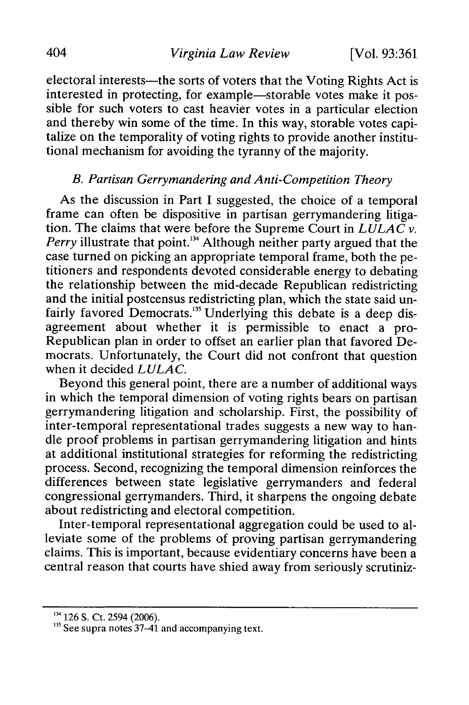electoral interests—the sorts of voters that the Voting Rights Act is interested in protecting, for example—storable votes make it possible for such voters to cast heavier votes in a particular election and thereby win some of the time. In this way, storable votes capitalize on the temporality of voting rights to provide another institutional mechanism for avoiding the tyranny of the majority.

#### *B. Partisan Gerrymandering and Anti-Competition Theory*

As the discussion in Part I suggested, the choice of a temporal frame can often be dispositive in partisan gerrymandering litigation. The claims that were before the Supreme Court in *LULAC v. Perry* illustrate that point.<sup>134</sup> Although neither party argued that the case turned on picking an appropriate temporal frame, both the petitioners and respondents devoted considerable energy to debating the relationship between the mid-decade Republican redistricting and the initial postcensus redistricting plan, which the state said unfairly favored Democrats.<sup>135</sup> Underlying this debate is a deep disagreement about whether it is permissible to enact a pro-Republican plan in order to offset an earlier plan that favored Democrats. Unfortunately, the Court did not confront that question when it decided *LULAC.*

Beyond this general point, there are a number of additional ways in which the temporal dimension of voting rights bears on partisan gerrymandering litigation and scholarship. First, the possibility of inter-temporal representational trades suggests a new way to handle proof problems in partisan gerrymandering litigation and hints at additional institutional strategies for reforming the redistricting process. Second, recognizing the temporal dimension reinforces the differences between state legislative gerrymanders and federal congressional gerrymanders. Third, it sharpens the ongoing debate about redistricting and electoral competition.

Inter-temporal representational aggregation could be used to alleviate some of the problems of proving partisan gerrymandering claims. This is important, because evidentiary concerns have been a central reason that courts have shied away from seriously scrutiniz-

<sup>&</sup>lt;sup>134</sup> 126 S. Ct. 2594 (2006).

 $135$  See supra notes 37–41 and accompanying text.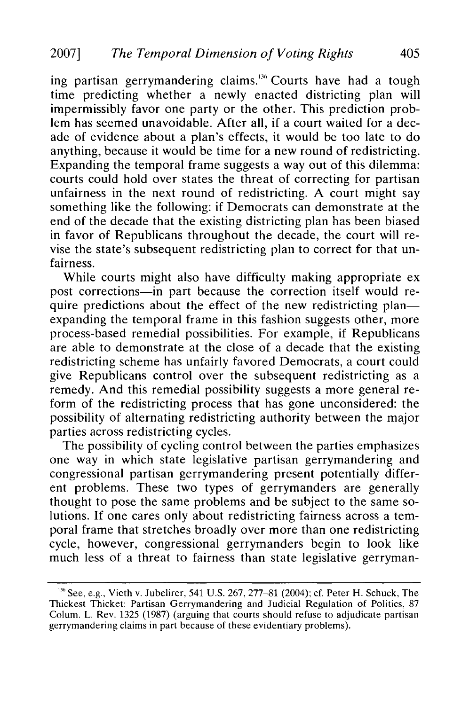ing partisan gerrymandering claims.<sup>136</sup> Courts have had a tough time predicting whether a newly enacted districting plan will impermissibly favor one party or the other. This prediction problem has seemed unavoidable. After all, if a court waited for a decade of evidence about a plan's effects, it would be too late to do anything, because it would be time for a new round of redistricting. Expanding the temporal frame suggests a way out of this dilemma: courts could hold over states the threat of correcting for partisan unfairness in the next round of redistricting. A court might say something like the following: if Democrats can demonstrate at the end of the decade that the existing districting plan has been biased in favor of Republicans throughout the decade, the court will revise the state's subsequent redistricting plan to correct for that unfairness.

While courts might also have difficulty making appropriate ex post corrections-in part because the correction itself would require predictions about the effect of the new redistricting plan expanding the temporal frame in this fashion suggests other, more process-based remedial possibilities. For example, if Republicans are able to demonstrate at the close of a decade that the existing redistricting scheme has unfairly favored Democrats, a court could give Republicans control over the subsequent redistricting as a remedy. And this remedial possibility suggests a more general reform of the redistricting process that has gone unconsidered: the possibility of alternating redistricting authority between the major parties across redistricting cycles.

The possibility of cycling control between the parties emphasizes one way in which state legislative partisan gerrymandering and congressional partisan gerrymandering present potentially different problems. These two types of gerrymanders are generally thought to pose the same problems and be subject to the same solutions. If one cares only about redistricting fairness across a temporal frame that stretches broadly over more than one redistricting cycle, however, congressional gerrymanders begin to look like much less of a threat to fairness than state legislative gerryman-

 $368$  See, e.g., Vieth v. Jubelirer, 541 U.S. 267, 277-81 (2004); cf. Peter H. Schuck, The Thickest Thicket: Partisan Gerrymandering and Judicial Regulation of Politics, 87 Colum. L. Rev. 1325 (1987) (arguing that courts should refuse to adjudicate partisan gerrymandering claims in part because of these evidentiary problems).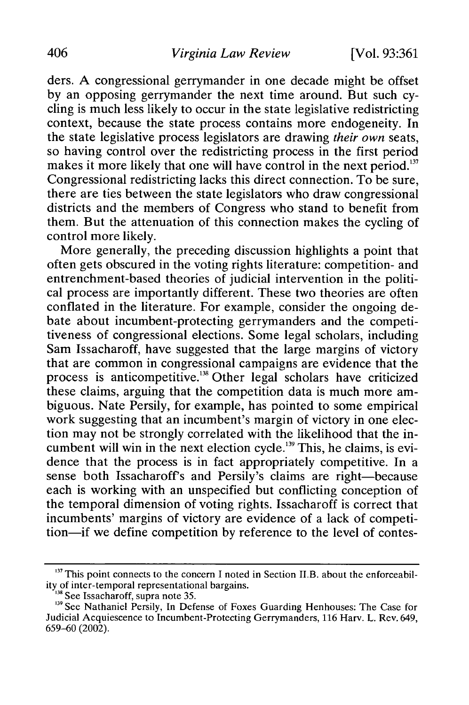ders. A congressional gerrymander in one decade might be offset by an opposing gerrymander the next time around. But such cycling is much less likely to occur in the state legislative redistricting context, because the state process contains more endogeneity. In the state legislative process legislators are drawing *their own* seats, so having control over the redistricting process in the first period makes it more likely that one will have control in the next period.<sup>137</sup> Congressional redistricting lacks this direct connection. To be sure, there are ties between the state legislators who draw congressional districts and the members of Congress who stand to benefit from them. But the attenuation of this connection makes the cycling of control more likely.

More generally, the preceding discussion highlights a point that often gets obscured in the voting rights literature: competition- and entrenchment-based theories of judicial intervention in the political process are importantly different. These two theories are often conflated in the literature. For example, consider the ongoing debate about incumbent-protecting gerrymanders and the competitiveness of congressional elections. Some legal scholars, including Sam Issacharoff, have suggested that the large margins of victory that are common in congressional campaigns are evidence that the process is anticompetitive.<sup>138</sup> Other legal scholars have criticized these claims, arguing that the competition data is much more ambiguous. Nate Persily, for example, has pointed to some empirical work suggesting that an incumbent's margin of victory in one election may not be strongly correlated with the likelihood that the incumbent will win in the next election cycle.<sup>139</sup> This, he claims, is evidence that the process is in fact appropriately competitive. In a sense both Issacharoff's and Persily's claims are right-because each is working with an unspecified but conflicting conception of the temporal dimension of voting rights. Issacharoff is correct that incumbents' margins of victory are evidence of a lack of competition—if we define competition by reference to the level of contes-

 $<sup>137</sup>$  This point connects to the concern I noted in Section II.B. about the enforceabil-</sup> ity of inter-temporal representational bargains.

<sup>&</sup>lt;sup>138</sup> See Issacharoff, supra note 35.

<sup>&</sup>lt;sup>139</sup> See Nathaniel Persily, In Defense of Foxes Guarding Henhouses: The Case for Judicial Acquiescence to Incumbent-Protecting Gerrymanders, 116 Harv. L. Rev. 649, 659-60 (2002).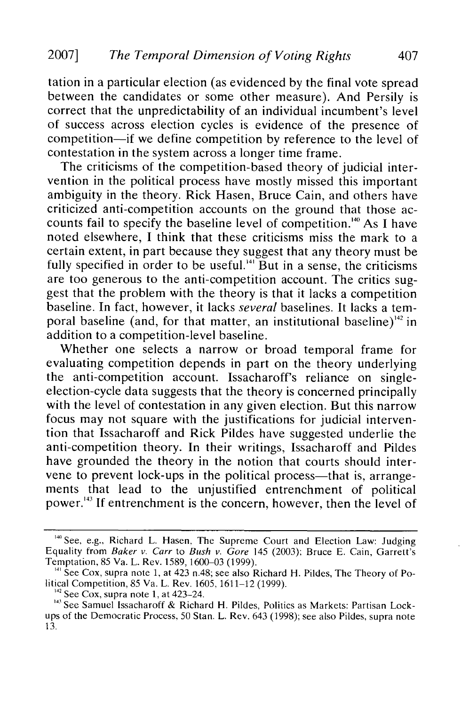tation in a particular election (as evidenced by the final vote spread between the candidates or some other measure). And Persily is correct that the unpredictability of an individual incumbent's level of success across election cycles is evidence of the presence of competition-if we define competition by reference to the level of contestation in the system across a longer time frame.

The criticisms of the competition-based theory of judicial intervention in the political process have mostly missed this important ambiguity in the theory. Rick Hasen, Bruce Cain, and others have criticized anti-competition accounts on the ground that those accounts fail to specify the baseline level of competition."40 As I have noted elsewhere, I think that these criticisms miss the mark to a certain extent, in part because they suggest that any theory must be fully specified in order to be useful.<sup>141</sup> But in a sense, the criticisms are too generous to the anti-competition account. The critics suggest that the problem with the theory is that it lacks a competition baseline. In fact, however, it lacks *several* baselines. It lacks a temporal baseline (and, for that matter, an institutional baseline)<sup> $142$ </sup> in addition to a competition-level baseline.

Whether one selects a narrow or broad temporal frame for evaluating competition depends in part on the theory underlying the anti-competition account. Issacharoff's reliance on singleelection-cycle data suggests that the theory is concerned principally with the level of contestation in any given election. But this narrow focus may not square with the justifications for judicial intervention that Issacharoff and Rick Pildes have suggested underlie the anti-competition theory. In their writings, Issacharoff and Pildes have grounded the theory in the notion that courts should intervene to prevent lock-ups in the political process-that is, arrangements that lead to the unjustified entrenchment of political power."3 If entrenchment is the concern, however, then the level of

<sup>140</sup> See, e.g., Richard L. Hasen, The Supreme Court and Election Law: Judging Equality from *Baker v. Carr* to *Bush v. Gore* 145 **(2003);** Bruce E. Cain, Garrett's Temptation, 85 Va. L. Rev. 1589, 1600-03 (1999).

*<sup>141</sup>* See Cox, supra note **1,** at 423 n.48; see also Richard H. Pildes, The Theory of Political Competition, 85 Va. L. Rev. 1605, 1611-12 (1999).

**<sup>14?</sup>** See Cox, supra note 1, at 423-24.

<sup>&</sup>lt;sup>143</sup> See Samuel Issacharoff & Richard H. Pildes, Politics as Markets: Partisan Lockups of the Democratic Process, 50 Stan. L. Rev. 643 (1998); see also Pildes, supra note 13.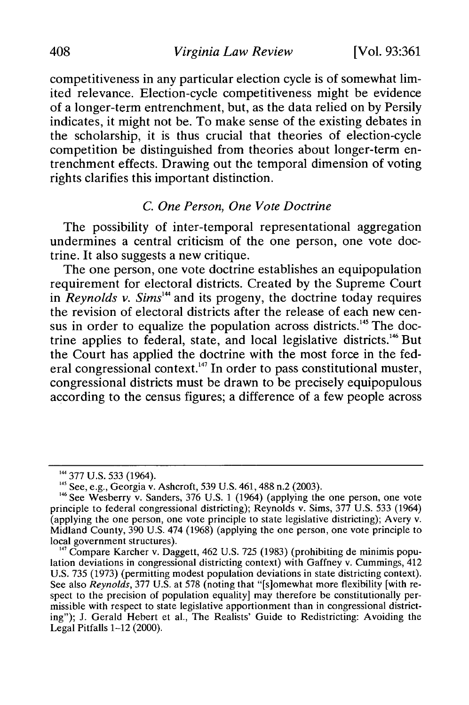competitiveness in any particular election cycle is of somewhat limited relevance. Election-cycle competitiveness might be evidence of a longer-term entrenchment, but, as the data relied on by Persily indicates, it might not be. To make sense of the existing debates in the scholarship, it is thus crucial that theories of election-cycle competition be distinguished from theories about longer-term entrenchment effects. Drawing out the temporal dimension of voting rights clarifies this important distinction.

### *C. One Person, One Vote Doctrine*

The possibility of inter-temporal representational aggregation undermines a central criticism of the one person, one vote doctrine. It also suggests a new critique.

The one person, one vote doctrine establishes an equipopulation requirement for electoral districts. Created by the Supreme Court in *Reynolds v. Sims*<sup>144</sup> and its progeny, the doctrine today requires the revision of electoral districts after the release of each new census in order to equalize the population across districts.<sup>145</sup> The doctrine applies to federal, state, and local legislative districts.<sup>146</sup> But the Court has applied the doctrine with the most force in the federal congressional context.<sup>147</sup> In order to pass constitutional muster, congressional districts must be drawn to be precisely equipopulous according to the census figures; a difference of a few people across

<sup>&</sup>lt;sup>144</sup> 377 U.S. 533 (1964).<br><sup>145</sup> See, e.g., Georgia v. Ashcroft, 539 U.S. 461, 488 n.2 (2003).

 $146$  See Wesberry v. Sanders, 376 U.S. 1 (1964) (applying the one person, one vote principle to federal congressional districting); Reynolds v. Sims, 377 U.S. 533 (1964) (applying the one person, one vote principle to state legislative districting); Avery v. Midland County, 390 U.S. 474 (1968) (applying the one person, one vote principle to local government structures).<br><sup>147</sup> Compare Karcher v. Daggett, 462 U.S. 725 (1983) (prohibiting de minimis popu-

lation deviations in congressional districting context) with Gaffney v. Cummings, 412 U.S. 735 (1973) (permitting modest population deviations in state districting context). See also *Reynolds*, 377 U.S. at 578 (noting that "[s]omewhat more flexibility [with respect to the precision of population equality] may therefore be constitutionally permissible with respect to state legislative apportionment than in congressional districting"); J. Gerald Hebert et al., The Realists' Guide to Redistricting: Avoiding the Legal Pitfalls 1-12 (2000).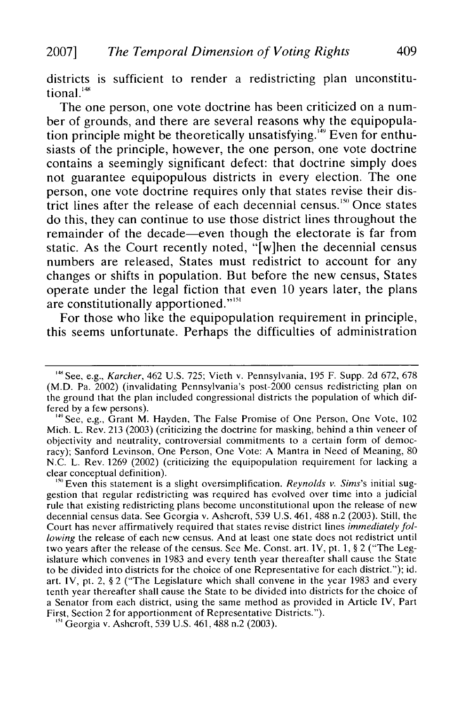districts is sufficient to render a redistricting plan unconstitutional.<sup>148</sup>

The one person, one vote doctrine has been criticized on a number of grounds, and there are several reasons why the equipopulation principle might be theoretically unsatisfying.<sup>149</sup> Even for enthusiasts of the principle, however, the one person, one vote doctrine contains a seemingly significant defect: that doctrine simply does not guarantee equipopulous districts in every election. The one person, one vote doctrine requires only that states revise their district lines after the release of each decennial census.<sup>150</sup> Once states do this, they can continue to use those district lines throughout the remainder of the decade—even though the electorate is far from static. As the Court recently noted, "[w]hen the decennial census numbers are released, States must redistrict to account for any changes or shifts in population. But before the new census, States operate under the legal fiction that even 10 years later, the plans are constitutionally apportioned."<sup>151</sup>

For those who like the equipopulation requirement in principle, this seems unfortunate. Perhaps the difficulties of administration

<sup>150</sup> Even this statement is a slight oversimplification. *Reynolds v. Sims's* initial suggestion that regular redistricting was required has evolved over time into a judicial rule that existing redistricting plans become unconstitutional upon the release of new decennial census data. See Georgia v. Ashcroft, 539 U.S. 461. 488 n.2 (2003). Still, the Court has never affirmatively required that states revise district lines *immediately following* the release of each new census. And at least one state does not redistrict until two years after the release of the census. See Me. Const. art. IV, pt. 1, § 2 ("The Legislature which convenes in 1983 and every tenth year thereafter shall cause the State to be divided into districts for the choice of one Representative for each district."); id. art. IV, pt. 2, § 2 ("The Legislature which shall convene in the year 1983 and every tenth year thereafter shall cause the State to be divided into districts for the choice of a Senator from each district, using the same method as provided in Article IV, Part First, Section 2 for apportionment of Representative Districts.").

<sup>151</sup> Georgia v. Ashcroft, 539 U.S. 461, 488 n.2 (2003).

<sup>&</sup>lt;sup>148</sup> See, e.g., *Karcher*, 462 U.S. 725; Vieth v. Pennsylvania, 195 F. Supp. 2d 672, 678 (M.D. Pa. 2002) (invalidating Pennsylvania's post-2000 census redistricting plan on the ground that the plan included congressional districts the population of which differed by a few persons).

<sup>&</sup>lt;sup>49</sup> See, e.g., Grant M. Hayden, The False Promise of One Person, One Vote, 102 Mich. L. Rev. 213 (2003) (criticizing the doctrine for masking, behind a thin veneer of objectivity and neutrality, controversial commitments to a certain form of democracy); Sanford Levinson, One Person, One Vote: A Mantra in Need of Meaning, 80 N.C. L. Rev. 1269 (2002) (criticizing the equipopulation requirement for lacking a clear conceptual definition).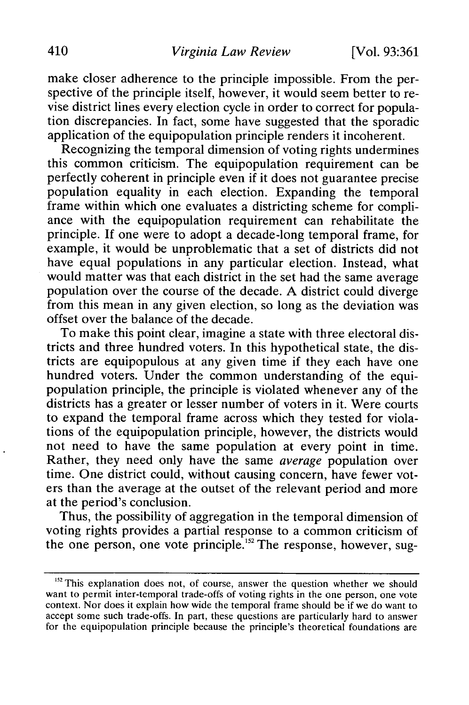make closer adherence to the principle impossible. From the perspective of the principle itself, however, it would seem better to revise district lines every election cycle in order to correct for population discrepancies. In fact, some have suggested that the sporadic application of the equipopulation principle renders it incoherent.

Recognizing the temporal dimension of voting rights undermines this common criticism. The equipopulation requirement can be perfectly coherent in principle even if it does not guarantee precise population equality in each election. Expanding the temporal frame within which one evaluates a districting scheme for compliance with the equipopulation requirement can rehabilitate the principle. If one were to adopt a decade-long temporal frame, for example, it would be unproblematic that a set of districts did not have equal populations in any particular election. Instead, what would matter was that each district in the set had the same average population over the course of the decade. A district could diverge from this mean in any given election, so long as the deviation was offset over the balance of the decade.

To make this point clear, imagine a state with three electoral districts and three hundred voters. In this hypothetical state, the districts are equipopulous at any given time if they each have one hundred voters. Under the common understanding of the equipopulation principle, the principle is violated whenever any of the districts has a greater or lesser number of voters in it. Were courts to expand the temporal frame across which they tested for violations of the equipopulation principle, however, the districts would not need to have the same population at every point in time. Rather, they need only have the same *average* population over time. One district could, without causing concern, have fewer voters than the average at the outset of the relevant period and more at the period's conclusion.

Thus, the possibility of aggregation in the temporal dimension of voting rights provides a partial response to a common criticism of the one person, one vote principle.<sup>152</sup> The response, however, sug-

<sup>&</sup>lt;sup>152</sup> This explanation does not, of course, answer the question whether we should want to permit inter-temporal trade-offs of voting rights in the one person, one vote context. Nor does it explain how wide the temporal frame should be if we do want to accept some such trade-offs. In part, these questions are particularly hard to answer for the equipopulation principle because the principle's theoretical foundations are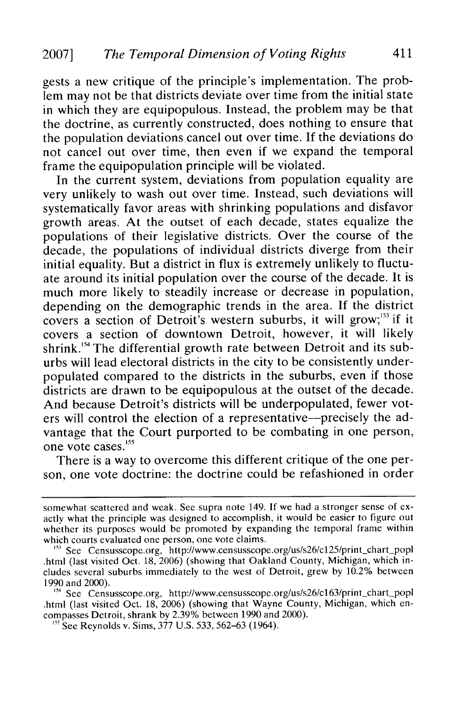gests a new critique of the principle's implementation. The problem may not be that districts deviate over time from the initial state in which they are equipopulous. Instead, the problem may be that the doctrine, as currently constructed, does nothing to ensure that the population deviations cancel out over time. If the deviations do not cancel out over time, then even if we expand the temporal frame the equipopulation principle will be violated.

In the current system, deviations from population equality are very unlikely to wash out over time. Instead, such deviations will systematically favor areas with shrinking populations and disfavor growth areas. At the outset of each decade, states equalize the populations of their legislative districts. Over the course of the decade, the populations of individual districts diverge from their initial equality. But a district in flux is extremely unlikely to fluctuate around its initial population over the course of the decade. It is much more likely to steadily increase or decrease in population, depending on the demographic trends in the area. If the district covers a section of Detroit's western suburbs, it will grow; $^{153}$  if it covers a section of downtown Detroit, however, it will likely shrink.<sup>154</sup> The differential growth rate between Detroit and its suburbs will lead electoral districts in the city to be consistently underpopulated compared to the districts in the suburbs, even if those districts are drawn to be equipopulous at the outset of the decade. And because Detroit's districts will be underpopulated, fewer voters will control the election of a representative-precisely the advantage that the Court purported to be combating in one person, one vote cases.<sup>155</sup>

There is a way to overcome this different critique of the one person, one vote doctrine: the doctrine could be refashioned in order

somewhat scattered and weak. See supra note 149. If we had a stronger sense of exactly what the principle was designed to accomplish, it would be easier to figure out whether its purposes would be promoted by expanding the temporal frame within which courts evaluated one person, one vote claims.

<sup>&</sup>lt;sup>33</sup> See Censusscope.org, http://www.censusscope.org/us/s26/c125/print\_chart\_pop .html (last visited Oct. 18, 2006) (showing that Oakland County, Michigan, which includes several suburbs immediately to the west of Detroit, grew by 10.2% between 1990 and 2000).

<sup>&</sup>lt;sup>154</sup> See Censusscope.org, http://www.censusscope.org/us/s26/c163/print\_chart\_popl .html (last visited Oct. 18, 2006) (showing that Wayne County, Michigan, which encompasses Detroit, shrank by 2.39% between 1990 and 2000). <sup>15</sup> See Reynolds v. Sims, 377 U.S. 533, 562–63 (1964).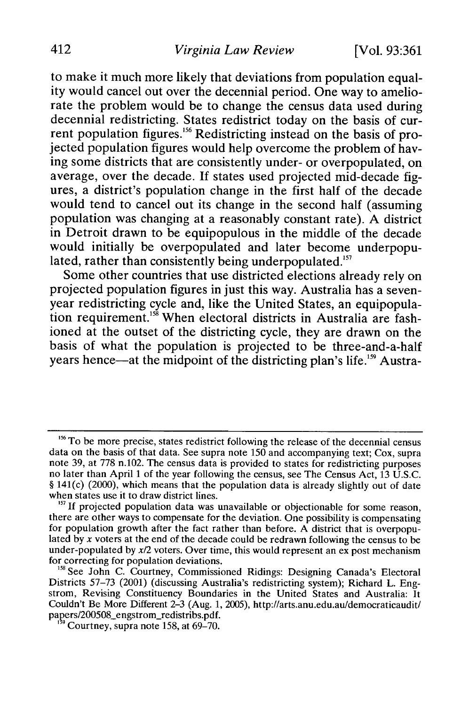to make it much more likely that deviations from population equality would cancel out over the decennial period. One way to ameliorate the problem would be to change the census data used during decennial redistricting. States redistrict today on the basis of current population figures.<sup>156</sup> Redistricting instead on the basis of projected population figures would help overcome the problem of having some districts that are consistently under- or overpopulated, on average, over the decade. If states used projected mid-decade figures, a district's population change in the first half of the decade would tend to cancel out its change in the second half (assuming population was changing at a reasonably constant rate). **A** district in Detroit drawn to be equipopulous in the middle of the decade would initially be overpopulated and later become underpopulated, rather than consistently being underpopulated.<sup>157</sup>

Some other countries that use districted elections already rely on projected population figures in just this way. Australia has a sevenyear redistricting cycle and, like the United States, an equipopulation requirement.<sup>158</sup> When electoral districts in Australia are fashioned at the outset of the districting cycle, they are drawn on the basis of what the population is projected to be three-and-a-half years hence—at the midpoint of the districting plan's life.<sup>159</sup> Austra-

<sup>&</sup>lt;sup>156</sup> To be more precise, states redistrict following the release of the decennial census data on the basis of that data. See supra note **150** and accompanying text; Cox, supra note **39,** at **778** n.102. The census data is provided to states for redistricting purposes no later than April **1** of the year following the census, see The Census Act, **13 U.S.C. §** 141(c) (2000), which means that the population data is already slightly out of date when states use it to draw district lines.

<sup>&</sup>lt;sup>157</sup> If projected population data was unavailable or objectionable for some reason, there are other ways to compensate for the deviation. One possibility is compensating for population growth after the fact rather than before. **A** district that is overpopulated **by** x voters at the end of the decade could be redrawn following the census to be under-populated **by x/2** voters. Over time, this would represent an ex post mechanism for correcting for population deviations.

<sup>&</sup>lt;sup>158</sup> See John C. Courtney, Commissioned Ridings: Designing Canada's Electoral Districts **57-73** (2001) (discussing Australia's redistricting system); Richard L. Engstrom, Revising Constituency Boundaries in the United States and Australia: It Couldn't Be More Different **2-3** (Aug. **1, 2005),** http://arts.anu.edu.au/democraticaudit/ papers/200508-engstrom-redistribs.pdf.

<sup>&#</sup>x27;-'Courtney, supra note **158,** at **69-70.**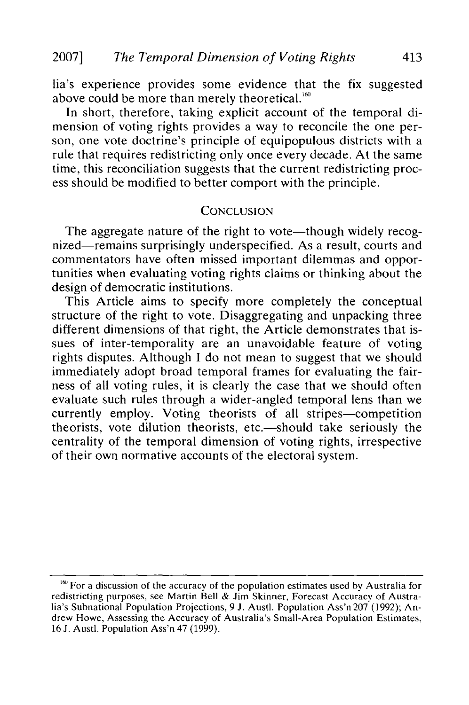lia's experience provides some evidence that the fix suggested above could be more than merely theoretical.<sup>160</sup>

In short, therefore, taking explicit account of the temporal dimension of voting rights provides a way to reconcile the one person, one vote doctrine's principle of equipopulous districts with a rule that requires redistricting only once every decade. At the same time, this reconciliation suggests that the current redistricting process should be modified to better comport with the principle.

#### **CONCLUSION**

The aggregate nature of the right to vote-though widely recognized-remains surprisingly underspecified. As a result, courts and commentators have often missed important dilemmas and opportunities when evaluating voting rights claims or thinking about the design of democratic institutions.

This Article aims to specify more completely the conceptual structure of the right to vote. Disaggregating and unpacking three different dimensions of that right, the Article demonstrates that issues of inter-temporality are an unavoidable feature of voting rights disputes. Although I do not mean to suggest that we should immediately adopt broad temporal frames for evaluating the fairness of all voting rules, it is clearly the case that we should often evaluate such rules through a wider-angled temporal lens than we currently employ. Voting theorists of all stripes-competition theorists, vote dilution theorists, etc.—should take seriously the centrality of the temporal dimension of voting rights, irrespective of their own normative accounts of the electoral system.

<sup>&</sup>lt;sup>160</sup> For a discussion of the accuracy of the population estimates used by Australia for redistricting purposes, see Martin Bell & Jim Skinner, Forecast Accuracy of Australia's Subnational Population Projections, 9 **J.** Austl. Population Ass'n 207 (1992); Andrew Howe, Assessing the Accuracy of Australia's Small-Area Population Estimates, 16 **J.** Austl. Population Ass'n 47 (1999).